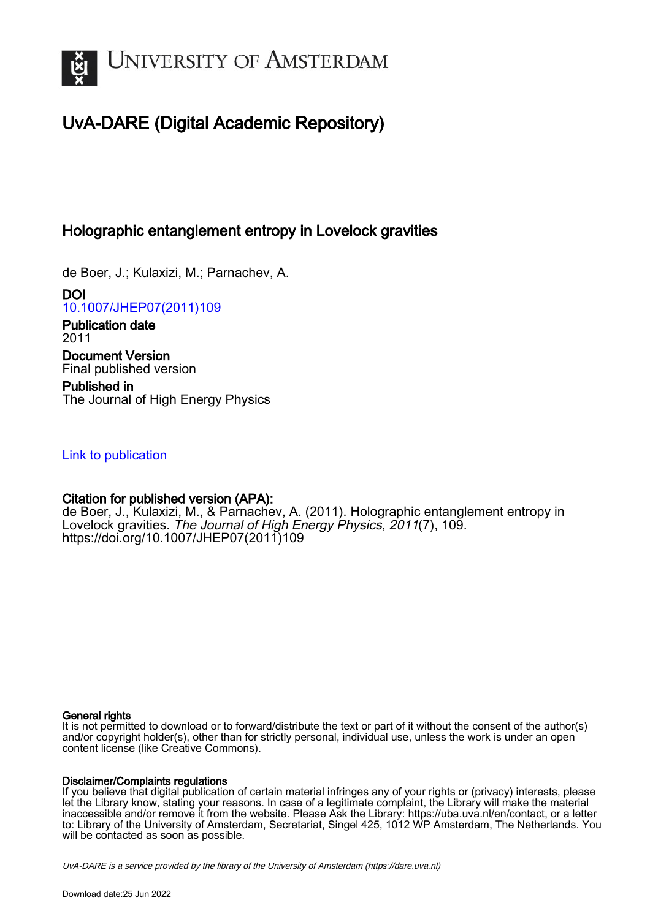

## UvA-DARE (Digital Academic Repository)

## Holographic entanglement entropy in Lovelock gravities

de Boer, J.; Kulaxizi, M.; Parnachev, A.

DOI [10.1007/JHEP07\(2011\)109](https://doi.org/10.1007/JHEP07(2011)109)

Publication date 2011 Document Version Final published version

Published in The Journal of High Energy Physics

## [Link to publication](https://dare.uva.nl/personal/pure/en/publications/holographic-entanglement-entropy-in-lovelock-gravities(5ead22b2-545f-428b-96b8-2f0f933d3db7).html)

### Citation for published version (APA):

de Boer, J., Kulaxizi, M., & Parnachev, A. (2011). Holographic entanglement entropy in Lovelock gravities. The Journal of High Energy Physics, 2011(7), 109. [https://doi.org/10.1007/JHEP07\(2011\)109](https://doi.org/10.1007/JHEP07(2011)109)

#### General rights

It is not permitted to download or to forward/distribute the text or part of it without the consent of the author(s) and/or copyright holder(s), other than for strictly personal, individual use, unless the work is under an open content license (like Creative Commons).

#### Disclaimer/Complaints regulations

If you believe that digital publication of certain material infringes any of your rights or (privacy) interests, please let the Library know, stating your reasons. In case of a legitimate complaint, the Library will make the material inaccessible and/or remove it from the website. Please Ask the Library: https://uba.uva.nl/en/contact, or a letter to: Library of the University of Amsterdam, Secretariat, Singel 425, 1012 WP Amsterdam, The Netherlands. You will be contacted as soon as possible.

UvA-DARE is a service provided by the library of the University of Amsterdam (http*s*://dare.uva.nl)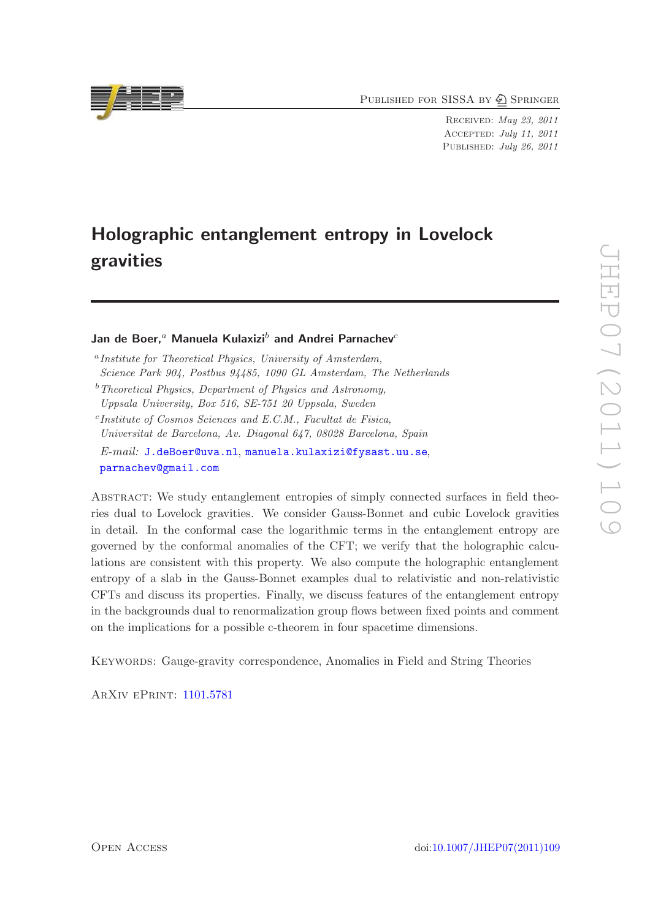PUBLISHED FOR SISSA BY 2 SPRINGER

Received: May 23, 2011 Accepted: July 11, 2011 PUBLISHED: July 26, 2011

# Holographic entanglement entropy in Lovelock gravities

Jan de Boer,<sup>a</sup> Manuela Kulaxizi<sup>b</sup> and Andrei Parnachev<sup>c</sup>

c *Institute of Cosmos Sciences and E.C.M., Facultat de Fisica, Universitat de Barcelona, Av. Diagonal 647, 08028 Barcelona, Spain E-mail:* [J.deBoer@uva.nl](mailto:J.deBoer@uva.nl), [manuela.kulaxizi@fysast.uu.se](mailto:manuela.kulaxizi@fysast.uu.se), [parnachev@gmail.com](mailto:parnachev@gmail.com)

Abstract: We study entanglement entropies of simply connected surfaces in field theories dual to Lovelock gravities. We consider Gauss-Bonnet and cubic Lovelock gravities in detail. In the conformal case the logarithmic terms in the entanglement entropy are governed by the conformal anomalies of the CFT; we verify that the holographic calculations are consistent with this property. We also compute the holographic entanglement entropy of a slab in the Gauss-Bonnet examples dual to relativistic and non-relativistic CFTs and discuss its properties. Finally, we discuss features of the entanglement entropy in the backgrounds dual to renormalization group flows between fixed points and comment on the implications for a possible c-theorem in four spacetime dimensions.

Keywords: Gauge-gravity correspondence, Anomalies in Field and String Theories

ArXiv ePrint: [1101.5781](http://arxiv.org/abs/1101.5781)



a *Institute for Theoretical Physics, University of Amsterdam, Science Park 904, Postbus 94485, 1090 GL Amsterdam, The Netherlands*

<sup>b</sup>*Theoretical Physics, Department of Physics and Astronomy, Uppsala University, Box 516, SE-751 20 Uppsala, Sweden*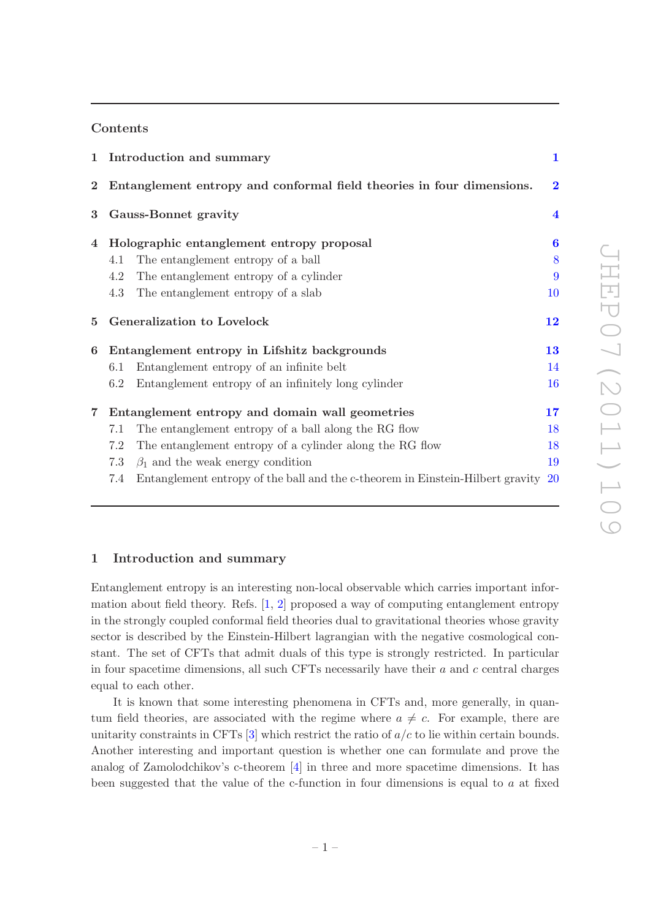#### Contents

|                | 1 Introduction and summary                                                               | 1                       |
|----------------|------------------------------------------------------------------------------------------|-------------------------|
| $\bf{2}^-$     | Entanglement entropy and conformal field theories in four dimensions.                    | $\bf{2}$                |
| $\bf{3}$       | Gauss-Bonnet gravity                                                                     | $\overline{\mathbf{4}}$ |
| 4              | Holographic entanglement entropy proposal                                                | 6                       |
|                | The entanglement entropy of a ball<br>4.1                                                | 8                       |
|                | 4.2<br>The entanglement entropy of a cylinder                                            | 9                       |
|                | 4.3<br>The entanglement entropy of a slab                                                | 10                      |
| 5              | Generalization to Lovelock                                                               | 12                      |
| 6              | Entanglement entropy in Lifshitz backgrounds                                             | 13                      |
|                | Entanglement entropy of an infinite belt<br>6.1                                          | 14                      |
|                | 6.2<br>Entanglement entropy of an infinitely long cylinder                               | 16                      |
| $\overline{7}$ | Entanglement entropy and domain wall geometries                                          | $17\,$                  |
|                | The entanglement entropy of a ball along the RG flow<br>7.1                              | 18                      |
|                | 7.2<br>The entanglement entropy of a cylinder along the RG flow                          | 18                      |
|                | 7.3<br>$\beta_1$ and the weak energy condition                                           | 19                      |
|                | Entanglement entropy of the ball and the c-theorem in Einstein-Hilbert gravity 20<br>7.4 |                         |

#### <span id="page-2-0"></span>1 Introduction and summary

Entanglement entropy is an interesting non-local observable which carries important information about field theory. Refs. [\[1](#page-24-0), [2](#page-24-1)] proposed a way of computing entanglement entropy in the strongly coupled conformal field theories dual to gravitational theories whose gravity sector is described by the Einstein-Hilbert lagrangian with the negative cosmological constant. The set of CFTs that admit duals of this type is strongly restricted. In particular in four spacetime dimensions, all such CFTs necessarily have their  $a$  and  $c$  central charges equal to each other.

It is known that some interesting phenomena in CFTs and, more generally, in quantum field theories, are associated with the regime where  $a \neq c$ . For example, there are unitarity constraints in CFTs  $[3]$  which restrict the ratio of  $a/c$  to lie within certain bounds. Another interesting and important question is whether one can formulate and prove the analog of Zamolodchikov's c-theorem [\[4\]](#page-24-3) in three and more spacetime dimensions. It has been suggested that the value of the c-function in four dimensions is equal to a at fixed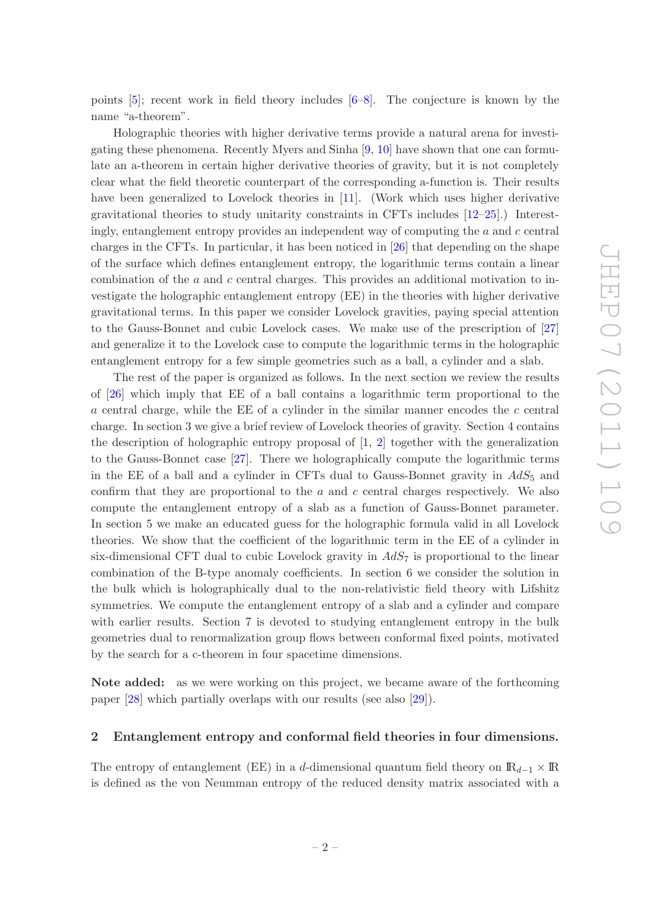points [\[5](#page-24-4)]; recent work in field theory includes [\[6](#page-24-5)[–8](#page-24-6)]. The conjecture is known by the name "a-theorem".

Holographic theories with higher derivative terms provide a natural arena for investigating these phenomena. Recently Myers and Sinha [\[9](#page-24-7), [10](#page-24-8)] have shown that one can formulate an a-theorem in certain higher derivative theories of gravity, but it is not completely clear what the field theoretic counterpart of the corresponding a-function is. Their results have been generalized to Lovelock theories in [\[11\]](#page-24-9). (Work which uses higher derivative gravitational theories to study unitarity constraints in CFTs includes [\[12](#page-24-10)[–25](#page-25-0)].) Interestingly, entanglement entropy provides an independent way of computing the a and c central charges in the CFTs. In particular, it has been noticed in [\[26\]](#page-25-1) that depending on the shape of the surface which defines entanglement entropy, the logarithmic terms contain a linear combination of the a and c central charges. This provides an additional motivation to investigate the holographic entanglement entropy (EE) in the theories with higher derivative gravitational terms. In this paper we consider Lovelock gravities, paying special attention to the Gauss-Bonnet and cubic Lovelock cases. We make use of the prescription of [\[27\]](#page-25-2) and generalize it to the Lovelock case to compute the logarithmic terms in the holographic entanglement entropy for a few simple geometries such as a ball, a cylinder and a slab.

The rest of the paper is organized as follows. In the next section we review the results of [\[26](#page-25-1)] which imply that EE of a ball contains a logarithmic term proportional to the  $a$  central charge, while the EE of a cylinder in the similar manner encodes the  $c$  central charge. In section 3 we give a brief review of Lovelock theories of gravity. Section 4 contains the description of holographic entropy proposal of  $[1, 2]$  $[1, 2]$  $[1, 2]$  together with the generalization to the Gauss-Bonnet case [\[27](#page-25-2)]. There we holographically compute the logarithmic terms in the EE of a ball and a cylinder in CFTs dual to Gauss-Bonnet gravity in  $AdS_5$  and confirm that they are proportional to the  $a$  and  $c$  central charges respectively. We also compute the entanglement entropy of a slab as a function of Gauss-Bonnet parameter. In section 5 we make an educated guess for the holographic formula valid in all Lovelock theories. We show that the coefficient of the logarithmic term in the EE of a cylinder in six-dimensional CFT dual to cubic Lovelock gravity in  $AdS_7$  is proportional to the linear combination of the B-type anomaly coefficients. In section 6 we consider the solution in the bulk which is holographically dual to the non-relativistic field theory with Lifshitz symmetries. We compute the entanglement entropy of a slab and a cylinder and compare with earlier results. Section 7 is devoted to studying entanglement entropy in the bulk geometries dual to renormalization group flows between conformal fixed points, motivated by the search for a c-theorem in four spacetime dimensions.

Note added: as we were working on this project, we became aware of the forthcoming paper [\[28\]](#page-25-3) which partially overlaps with our results (see also [\[29\]](#page-25-4)).

#### <span id="page-3-0"></span>2 Entanglement entropy and conformal field theories in four dimensions.

The entropy of entanglement (EE) in a d-dimensional quantum field theory on  $\mathbb{R}_{d-1} \times \mathbb{R}$ is defined as the von Neumman entropy of the reduced density matrix associated with a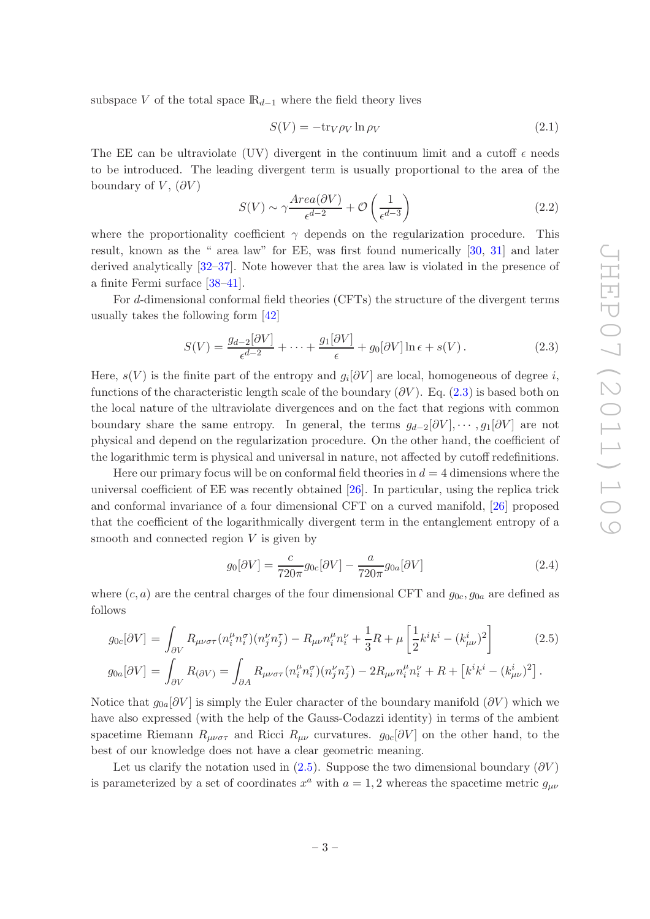subspace V of the total space  $\mathbb{R}_{d-1}$  where the field theory lives

$$
S(V) = -\text{tr}_V \rho_V \ln \rho_V \tag{2.1}
$$

The EE can be ultraviolate (UV) divergent in the continuum limit and a cutoff  $\epsilon$  needs to be introduced. The leading divergent term is usually proportional to the area of the boundary of V,  $(\partial V)$ 

$$
S(V) \sim \gamma \frac{Area(\partial V)}{\epsilon^{d-2}} + \mathcal{O}\left(\frac{1}{\epsilon^{d-3}}\right)
$$
 (2.2)

where the proportionality coefficient  $\gamma$  depends on the regularization procedure. This result, known as the " area law" for EE, was first found numerically [\[30](#page-25-5), [31\]](#page-25-6) and later derived analytically [\[32](#page-25-7)[–37](#page-25-8)]. Note however that the area law is violated in the presence of a finite Fermi surface [\[38](#page-25-9)[–41](#page-25-10)].

For d-dimensional conformal field theories (CFTs) the structure of the divergent terms usually takes the following form [\[42](#page-26-0)]

<span id="page-4-0"></span>
$$
S(V) = \frac{g_{d-2}[\partial V]}{\epsilon^{d-2}} + \dots + \frac{g_1[\partial V]}{\epsilon} + g_0[\partial V] \ln \epsilon + s(V). \tag{2.3}
$$

Here,  $s(V)$  is the finite part of the entropy and  $g_i[\partial V]$  are local, homogeneous of degree i, functions of the characteristic length scale of the boundary  $(\partial V)$ . Eq.  $(2.3)$  is based both on the local nature of the ultraviolate divergences and on the fact that regions with common boundary share the same entropy. In general, the terms  $g_{d-2}[\partial V], \cdots, g_1[\partial V]$  are not physical and depend on the regularization procedure. On the other hand, the coefficient of the logarithmic term is physical and universal in nature, not affected by cutoff redefinitions.

Here our primary focus will be on conformal field theories in  $d = 4$  dimensions where the universal coefficient of EE was recently obtained [\[26\]](#page-25-1). In particular, using the replica trick and conformal invariance of a four dimensional CFT on a curved manifold, [\[26](#page-25-1)] proposed that the coefficient of the logarithmically divergent term in the entanglement entropy of a smooth and connected region  $V$  is given by

<span id="page-4-2"></span>
$$
g_0[\partial V] = \frac{c}{720\pi} g_{0c}[\partial V] - \frac{a}{720\pi} g_{0a}[\partial V] \tag{2.4}
$$

where  $(c, a)$  are the central charges of the four dimensional CFT and  $g_{0c}, g_{0a}$  are defined as follows

<span id="page-4-1"></span>
$$
g_{0c}[\partial V] = \int_{\partial V} R_{\mu\nu\sigma\tau} (n_i^{\mu} n_i^{\sigma}) (n_j^{\nu} n_j^{\tau}) - R_{\mu\nu} n_i^{\mu} n_i^{\nu} + \frac{1}{3} R + \mu \left[ \frac{1}{2} k^i k^i - (k_{\mu\nu}^i)^2 \right]
$$
(2.5)

$$
g_{0a}[\partial V] = \int_{\partial V} R_{(\partial V)} = \int_{\partial A} R_{\mu\nu\sigma\tau} (n_i^{\mu} n_i^{\sigma}) (n_j^{\nu} n_j^{\tau}) - 2R_{\mu\nu} n_i^{\mu} n_i^{\nu} + R + [k^i k^i - (k_{\mu\nu}^i)^2].
$$

Notice that  $g_{0a}[\partial V]$  is simply the Euler character of the boundary manifold  $(\partial V)$  which we have also expressed (with the help of the Gauss-Codazzi identity) in terms of the ambient spacetime Riemann  $R_{\mu\nu\sigma\tau}$  and Ricci  $R_{\mu\nu}$  curvatures.  $g_{0c}[\partial V]$  on the other hand, to the best of our knowledge does not have a clear geometric meaning.

Let us clarify the notation used in [\(2.5\)](#page-4-1). Suppose the two dimensional boundary ( $\partial V$ ) is parameterized by a set of coordinates  $x^a$  with  $a = 1, 2$  whereas the spacetime metric  $g_{\mu\nu}$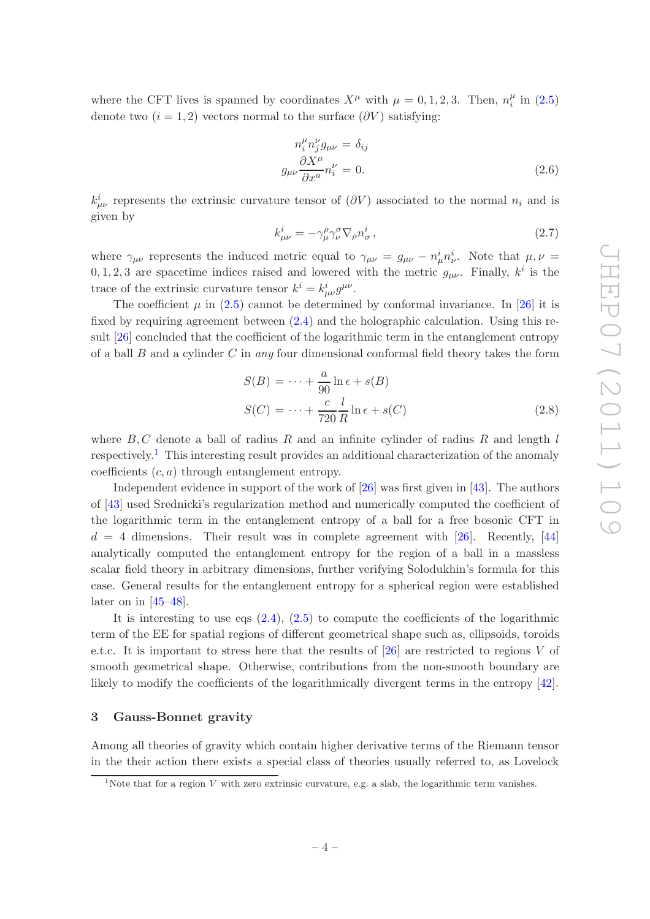where the CFT lives is spanned by coordinates  $X^{\mu}$  with  $\mu = 0, 1, 2, 3$ . Then,  $n_i^{\mu}$  $\frac{\mu}{i}$  in  $(2.5)$ denote two  $(i = 1, 2)$  vectors normal to the surface  $(\partial V)$  satisfying:

$$
n_i^{\mu} n_j^{\nu} g_{\mu\nu} = \delta_{ij}
$$
  
\n
$$
g_{\mu\nu} \frac{\partial X^{\mu}}{\partial x^a} n_i^{\nu} = 0.
$$
 (2.6)

 $k^i_{\mu\nu}$  represents the extrinsic curvature tensor of  $(\partial V)$  associated to the normal  $n_i$  and is given by

$$
k_{\mu\nu}^{i} = -\gamma_{\mu}^{\rho}\gamma_{\nu}^{\sigma}\nabla_{\rho}n_{\sigma}^{i},\tag{2.7}
$$

where  $\gamma_{\mu\nu}$  represents the induced metric equal to  $\gamma_{\mu\nu} = g_{\mu\nu} - n^i_{\mu} n^i_{\nu}$ . Note that  $\mu, \nu =$ 0, 1, 2, 3 are spacetime indices raised and lowered with the metric  $g_{\mu\nu}$ . Finally,  $k^i$  is the trace of the extrinsic curvature tensor  $k^i = k^i_{\mu\nu} g^{\mu\nu}$ .

The coefficient  $\mu$  in [\(2.5\)](#page-4-1) cannot be determined by conformal invariance. In [\[26](#page-25-1)] it is fixed by requiring agreement between [\(2.4\)](#page-4-2) and the holographic calculation. Using this result [\[26\]](#page-25-1) concluded that the coefficient of the logarithmic term in the entanglement entropy of a ball B and a cylinder C in *any* four dimensional conformal field theory takes the form

<span id="page-5-2"></span>
$$
S(B) = \dots + \frac{a}{90} \ln \epsilon + s(B)
$$
  

$$
S(C) = \dots + \frac{c}{720} \frac{l}{R} \ln \epsilon + s(C)
$$
 (2.8)

where  $B, C$  denote a ball of radius  $R$  and an infinite cylinder of radius  $R$  and length  $l$ respectively.<sup>[1](#page-5-1)</sup> This interesting result provides an additional characterization of the anomaly coefficients  $(c, a)$  through entanglement entropy.

Independent evidence in support of the work of [\[26](#page-25-1)] was first given in [\[43\]](#page-26-1). The authors of [\[43](#page-26-1)] used Srednicki's regularization method and numerically computed the coefficient of the logarithmic term in the entanglement entropy of a ball for a free bosonic CFT in  $d = 4$  dimensions. Their result was in complete agreement with [\[26\]](#page-25-1). Recently, [\[44\]](#page-26-2) analytically computed the entanglement entropy for the region of a ball in a massless scalar field theory in arbitrary dimensions, further verifying Solodukhin's formula for this case. General results for the entanglement entropy for a spherical region were established later on in  $[45-48]$ .

It is interesting to use eqs  $(2.4)$ ,  $(2.5)$  to compute the coefficients of the logarithmic term of the EE for spatial regions of different geometrical shape such as, ellipsoids, toroids e.t.c. It is important to stress here that the results of  $[26]$  are restricted to regions V of smooth geometrical shape. Otherwise, contributions from the non-smooth boundary are likely to modify the coefficients of the logarithmically divergent terms in the entropy [\[42](#page-26-0)].

#### <span id="page-5-0"></span>3 Gauss-Bonnet gravity

Among all theories of gravity which contain higher derivative terms of the Riemann tensor in the their action there exists a special class of theories usually referred to, as Lovelock

<span id="page-5-1"></span><sup>&</sup>lt;sup>1</sup>Note that for a region V with zero extrinsic curvature, e.g. a slab, the logarithmic term vanishes.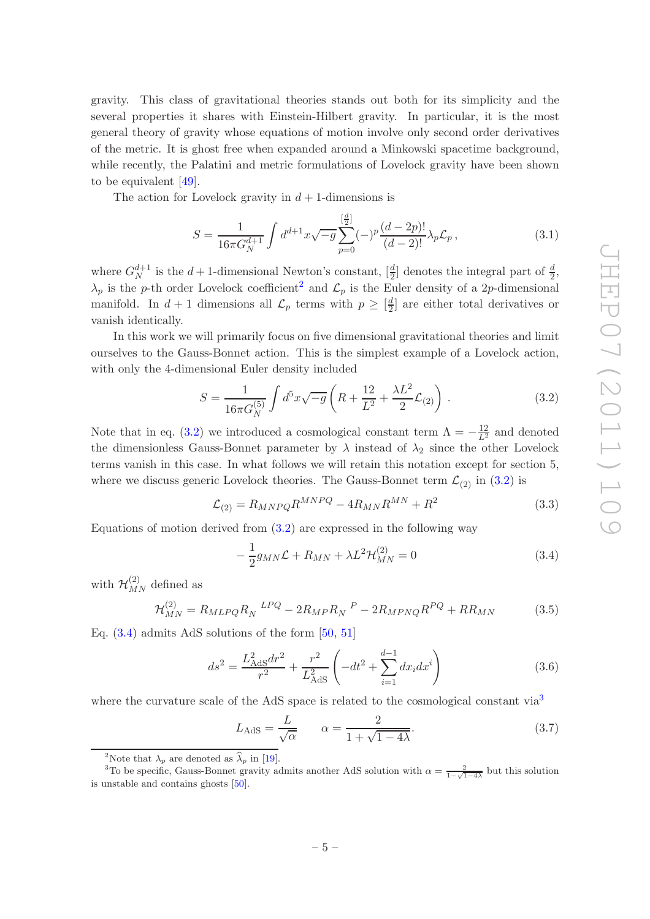gravity. This class of gravitational theories stands out both for its simplicity and the several properties it shares with Einstein-Hilbert gravity. In particular, it is the most general theory of gravity whose equations of motion involve only second order derivatives of the metric. It is ghost free when expanded around a Minkowski spacetime background, while recently, the Palatini and metric formulations of Lovelock gravity have been shown to be equivalent [\[49](#page-26-5)].

The action for Lovelock gravity in  $d+1$ -dimensions is

$$
S = \frac{1}{16\pi G_N^{d+1}} \int d^{d+1}x \sqrt{-g} \sum_{p=0}^{\left[\frac{d}{2}\right]} (-)^p \frac{(d-2p)!}{(d-2)!} \lambda_p \mathcal{L}_p \,, \tag{3.1}
$$

where  $G_N^{d+1}$  is the  $d+1$ -dimensional Newton's constant,  $\left[\frac{d}{2}\right]$  denotes the integral part of  $\frac{d}{2}$ ,  $\lambda_p$  is the p-th order Lovelock coefficient<sup>[2](#page-6-0)</sup> and  $\mathcal{L}_p$  is the Euler density of a 2p-dimensional manifold. In  $d+1$  dimensions all  $\mathcal{L}_p$  terms with  $p \geq \left[\frac{d}{2}\right]$  $\frac{d}{2}$  are either total derivatives or vanish identically.

In this work we will primarily focus on five dimensional gravitational theories and limit ourselves to the Gauss-Bonnet action. This is the simplest example of a Lovelock action, with only the 4-dimensional Euler density included

<span id="page-6-1"></span>
$$
S = \frac{1}{16\pi G_N^{(5)}} \int d^5 x \sqrt{-g} \left( R + \frac{12}{L^2} + \frac{\lambda L^2}{2} \mathcal{L}_{(2)} \right) . \tag{3.2}
$$

Note that in eq. [\(3.2\)](#page-6-1) we introduced a cosmological constant term  $\Lambda = -\frac{12}{L^2}$  and denoted the dimensionless Gauss-Bonnet parameter by  $\lambda$  instead of  $\lambda_2$  since the other Lovelock terms vanish in this case. In what follows we will retain this notation except for section 5, where we discuss generic Lovelock theories. The Gauss-Bonnet term  $\mathcal{L}_{(2)}$  in [\(3.2\)](#page-6-1) is

$$
\mathcal{L}_{(2)} = R_{MNPQ} R^{MNPQ} - 4R_{MN} R^{MN} + R^2 \tag{3.3}
$$

Equations of motion derived from [\(3.2\)](#page-6-1) are expressed in the following way

<span id="page-6-2"></span>
$$
-\frac{1}{2}g_{MN}\mathcal{L} + R_{MN} + \lambda L^2 \mathcal{H}_{MN}^{(2)} = 0
$$
\n(3.4)

with  $\mathcal{H}_{MN}^{(2)}$  defined as

$$
\mathcal{H}_{MN}^{(2)} = R_{MLPQ} R_N^{LPQ} - 2R_{MP} R_N^{P} - 2R_{MPNQ} R^{PQ} + R R_{MN}
$$
(3.5)

Eq.  $(3.4)$  admits AdS solutions of the form  $[50, 51]$  $[50, 51]$  $[50, 51]$ 

$$
ds^{2} = \frac{L_{\text{AdS}}^{2} dr^{2}}{r^{2}} + \frac{r^{2}}{L_{\text{AdS}}^{2}} \left( -dt^{2} + \sum_{i=1}^{d-1} dx_{i} dx^{i} \right)
$$
(3.6)

where the curvature scale of the AdS space is related to the cosmological constant  $via<sup>3</sup>$  $via<sup>3</sup>$  $via<sup>3</sup>$ 

<span id="page-6-4"></span>
$$
L_{\text{AdS}} = \frac{L}{\sqrt{\alpha}} \qquad \alpha = \frac{2}{1 + \sqrt{1 - 4\lambda}}.\tag{3.7}
$$

<span id="page-6-0"></span><sup>&</sup>lt;sup>2</sup>Note that  $\lambda_p$  are denoted as  $\widehat{\lambda}_p$  in [\[19\]](#page-24-11).

<span id="page-6-3"></span><sup>&</sup>lt;sup>3</sup>To be specific, Gauss-Bonnet gravity admits another AdS solution with  $\alpha = \frac{2}{1-\sqrt{1-4\lambda}}$  but this solution is unstable and contains ghosts [\[50](#page-26-6)].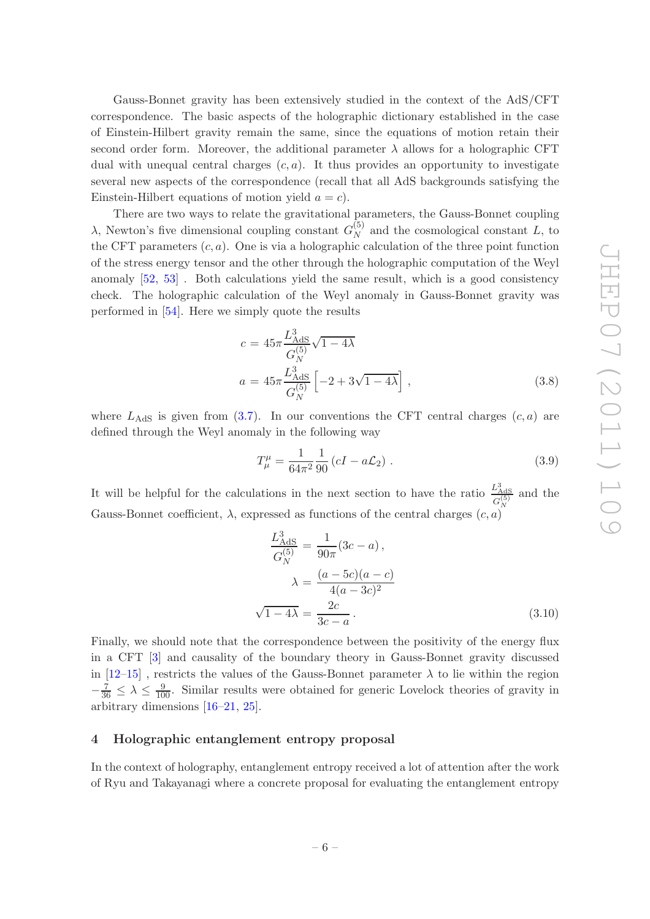Gauss-Bonnet gravity has been extensively studied in the context of the AdS/CFT correspondence. The basic aspects of the holographic dictionary established in the case of Einstein-Hilbert gravity remain the same, since the equations of motion retain their second order form. Moreover, the additional parameter  $\lambda$  allows for a holographic CFT dual with unequal central charges  $(c, a)$ . It thus provides an opportunity to investigate several new aspects of the correspondence (recall that all AdS backgrounds satisfying the Einstein-Hilbert equations of motion yield  $a = c$ ).

There are two ways to relate the gravitational parameters, the Gauss-Bonnet coupling  $\lambda$ , Newton's five dimensional coupling constant  $G_N^{(5)}$  $N \nvert N$  and the cosmological constant L, to the CFT parameters  $(c, a)$ . One is via a holographic calculation of the three point function of the stress energy tensor and the other through the holographic computation of the Weyl anomaly [\[52](#page-26-8), [53\]](#page-26-9) . Both calculations yield the same result, which is a good consistency check. The holographic calculation of the Weyl anomaly in Gauss-Bonnet gravity was performed in [\[54](#page-26-10)]. Here we simply quote the results

$$
c = 45\pi \frac{L_{\text{AdS}}^3}{G_N^{(5)}} \sqrt{1 - 4\lambda}
$$
  
\n
$$
a = 45\pi \frac{L_{\text{AdS}}^3}{G_N^{(5)}} \left[ -2 + 3\sqrt{1 - 4\lambda} \right] , \qquad (3.8)
$$

where  $L_{\text{AdS}}$  is given from [\(3.7\)](#page-6-4). In our conventions the CFT central charges  $(c, a)$  are defined through the Weyl anomaly in the following way

$$
T^{\mu}_{\mu} = \frac{1}{64\pi^2} \frac{1}{90} \left( cI - a\mathcal{L}_2 \right) . \tag{3.9}
$$

It will be helpful for the calculations in the next section to have the ratio  $\frac{L_{\text{AdS}}^3}{C^{(5)}}$  $G_N^{(5)}$ and the Gauss-Bonnet coefficient,  $\lambda$ , expressed as functions of the central charges  $(c, a)$ 

<span id="page-7-1"></span>
$$
\frac{L_{\text{AdS}}^3}{G_N^{(5)}} = \frac{1}{90\pi} (3c - a), \n\lambda = \frac{(a - 5c)(a - c)}{4(a - 3c)^2} \n\sqrt{1 - 4\lambda} = \frac{2c}{3c - a}.
$$
\n(3.10)

Finally, we should note that the correspondence between the positivity of the energy flux in a CFT [\[3\]](#page-24-2) and causality of the boundary theory in Gauss-Bonnet gravity discussed in  $[12-15]$ , restricts the values of the Gauss-Bonnet parameter  $\lambda$  to lie within the region  $-\frac{7}{36} \leq \lambda \leq \frac{9}{100}$ . Similar results were obtained for generic Lovelock theories of gravity in arbitrary dimensions [\[16](#page-24-13)[–21](#page-25-11), [25](#page-25-0)].

#### <span id="page-7-0"></span>4 Holographic entanglement entropy proposal

In the context of holography, entanglement entropy received a lot of attention after the work of Ryu and Takayanagi where a concrete proposal for evaluating the entanglement entropy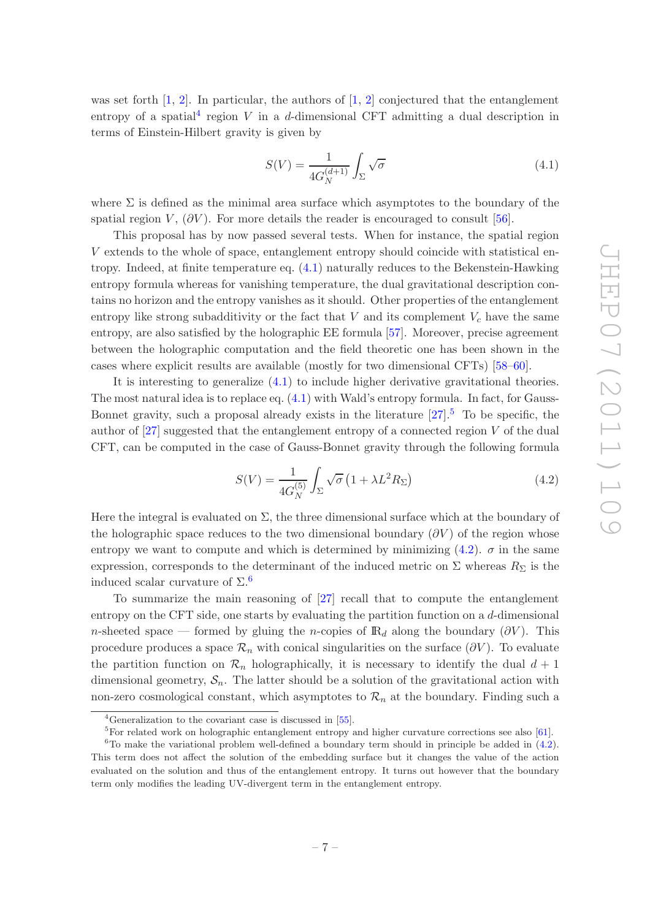was set forth  $[1, 2]$  $[1, 2]$  $[1, 2]$ . In particular, the authors of  $[1, 2]$  conjectured that the entanglement entropy of a spatial<sup>[4](#page-8-0)</sup> region V in a d-dimensional CFT admitting a dual description in terms of Einstein-Hilbert gravity is given by

<span id="page-8-1"></span>
$$
S(V) = \frac{1}{4G_N^{(d+1)}} \int_{\Sigma} \sqrt{\sigma} \tag{4.1}
$$

where  $\Sigma$  is defined as the minimal area surface which asymptotes to the boundary of the spatial region  $V$ ,  $(\partial V)$ . For more details the reader is encouraged to consult [\[56\]](#page-26-11).

This proposal has by now passed several tests. When for instance, the spatial region V extends to the whole of space, entanglement entropy should coincide with statistical entropy. Indeed, at finite temperature eq. [\(4.1\)](#page-8-1) naturally reduces to the Bekenstein-Hawking entropy formula whereas for vanishing temperature, the dual gravitational description contains no horizon and the entropy vanishes as it should. Other properties of the entanglement entropy like strong subadditivity or the fact that  $V$  and its complement  $V_c$  have the same entropy, are also satisfied by the holographic EE formula [\[57\]](#page-26-12). Moreover, precise agreement between the holographic computation and the field theoretic one has been shown in the cases where explicit results are available (mostly for two dimensional CFTs) [\[58](#page-26-13)[–60\]](#page-26-14).

It is interesting to generalize [\(4.1\)](#page-8-1) to include higher derivative gravitational theories. The most natural idea is to replace eq. [\(4.1\)](#page-8-1) with Wald's entropy formula. In fact, for Gauss-Bonnet gravity, such a proposal already exists in the literature  $[27].<sup>5</sup>$  $[27].<sup>5</sup>$  $[27].<sup>5</sup>$  To be specific, the author of  $[27]$  suggested that the entanglement entropy of a connected region V of the dual CFT, can be computed in the case of Gauss-Bonnet gravity through the following formula

<span id="page-8-3"></span>
$$
S(V) = \frac{1}{4G_N^{(5)}} \int_{\Sigma} \sqrt{\sigma} \left( 1 + \lambda L^2 R_{\Sigma} \right) \tag{4.2}
$$

Here the integral is evaluated on  $\Sigma$ , the three dimensional surface which at the boundary of the holographic space reduces to the two dimensional boundary  $(\partial V)$  of the region whose entropy we want to compute and which is determined by minimizing  $(4.2)$ .  $\sigma$  in the same expression, corresponds to the determinant of the induced metric on  $\Sigma$  whereas  $R_{\Sigma}$  is the induced scalar curvature of  $\Sigma$ .<sup>[6](#page-8-4)</sup>

To summarize the main reasoning of [\[27\]](#page-25-2) recall that to compute the entanglement entropy on the CFT side, one starts by evaluating the partition function on a d-dimensional n-sheeted space — formed by gluing the n-copies of  $\mathbb{R}_d$  along the boundary (∂V). This procedure produces a space  $\mathcal{R}_n$  with conical singularities on the surface ( $\partial V$ ). To evaluate the partition function on  $\mathcal{R}_n$  holographically, it is necessary to identify the dual  $d+1$ dimensional geometry,  $S_n$ . The latter should be a solution of the gravitational action with non-zero cosmological constant, which asymptotes to  $\mathcal{R}_n$  at the boundary. Finding such a

<sup>&</sup>lt;sup>4</sup>Generalization to the covariant case is discussed in [\[55\]](#page-26-15).

<span id="page-8-2"></span><span id="page-8-0"></span> ${}^{5}$ For related work on holographic entanglement entropy and higher curvature corrections see also [\[61\]](#page-26-16).

<span id="page-8-4"></span> $6T_0$  make the variational problem well-defined a boundary term should in principle be added in  $(4.2)$ . This term does not affect the solution of the embedding surface but it changes the value of the action evaluated on the solution and thus of the entanglement entropy. It turns out however that the boundary term only modifies the leading UV-divergent term in the entanglement entropy.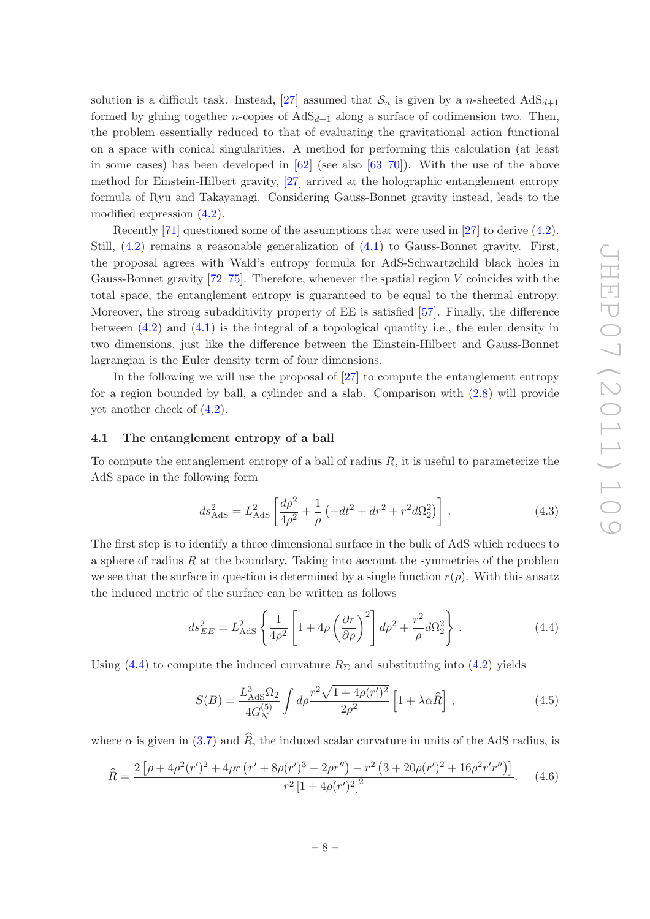solution is a difficult task. Instead, [\[27](#page-25-2)] assumed that  $S_n$  is given by a n-sheeted  $AdS_{d+1}$ formed by gluing together *n*-copies of  $AdS_{d+1}$  along a surface of codimension two. Then, the problem essentially reduced to that of evaluating the gravitational action functional on a space with conical singularities. A method for performing this calculation (at least in some cases) has been developed in [\[62](#page-26-17)] (see also [\[63](#page-26-18)[–70](#page-27-0)]). With the use of the above method for Einstein-Hilbert gravity, [\[27](#page-25-2)] arrived at the holographic entanglement entropy formula of Ryu and Takayanagi. Considering Gauss-Bonnet gravity instead, leads to the modified expression [\(4.2\)](#page-8-3).

Recently [\[71\]](#page-27-1) questioned some of the assumptions that were used in [\[27](#page-25-2)] to derive [\(4.2\)](#page-8-3). Still, [\(4.2\)](#page-8-3) remains a reasonable generalization of [\(4.1\)](#page-8-1) to Gauss-Bonnet gravity. First, the proposal agrees with Wald's entropy formula for AdS-Schwartzchild black holes in Gauss-Bonnet gravity  $[72-75]$ . Therefore, whenever the spatial region V coincides with the total space, the entanglement entropy is guaranteed to be equal to the thermal entropy. Moreover, the strong subadditivity property of EE is satisfied [\[57\]](#page-26-12). Finally, the difference between [\(4.2\)](#page-8-3) and [\(4.1\)](#page-8-1) is the integral of a topological quantity i.e., the euler density in two dimensions, just like the difference between the Einstein-Hilbert and Gauss-Bonnet lagrangian is the Euler density term of four dimensions.

In the following we will use the proposal of [\[27](#page-25-2)] to compute the entanglement entropy for a region bounded by ball, a cylinder and a slab. Comparison with [\(2.8\)](#page-5-2) will provide yet another check of [\(4.2\)](#page-8-3).

#### <span id="page-9-0"></span>4.1 The entanglement entropy of a ball

To compute the entanglement entropy of a ball of radius  $R$ , it is useful to parameterize the AdS space in the following form

$$
ds_{\text{AdS}}^2 = L_{\text{AdS}}^2 \left[ \frac{d\rho^2}{4\rho^2} + \frac{1}{\rho} \left( -dt^2 + dr^2 + r^2 d\Omega_2^2 \right) \right] \,. \tag{4.3}
$$

The first step is to identify a three dimensional surface in the bulk of AdS which reduces to a sphere of radius  $R$  at the boundary. Taking into account the symmetries of the problem we see that the surface in question is determined by a single function  $r(\rho)$ . With this ansatz the induced metric of the surface can be written as follows

<span id="page-9-1"></span>
$$
ds_{EE}^2 = L_{\text{AdS}}^2 \left\{ \frac{1}{4\rho^2} \left[ 1 + 4\rho \left( \frac{\partial r}{\partial \rho} \right)^2 \right] d\rho^2 + \frac{r^2}{\rho} d\Omega_2^2 \right\} \,. \tag{4.4}
$$

Using [\(4.4\)](#page-9-1) to compute the induced curvature  $R_{\Sigma}$  and substituting into [\(4.2\)](#page-8-3) yields

<span id="page-9-2"></span>
$$
S(B) = \frac{L_{\text{AdS}}^3 \Omega_2}{4G_N^{(5)}} \int d\rho \frac{r^2 \sqrt{1 + 4\rho(r')^2}}{2\rho^2} \left[1 + \lambda \alpha \hat{R}\right],\tag{4.5}
$$

where  $\alpha$  is given in [\(3.7\)](#page-6-4) and  $\widehat{R}$ , the induced scalar curvature in units of the AdS radius, is

$$
\widehat{R} = \frac{2\left[\rho + 4\rho^2(r')^2 + 4\rho r\left(r' + 8\rho(r')^3 - 2\rho r''\right) - r^2\left(3 + 20\rho(r')^2 + 16\rho^2 r' r''\right)\right]}{r^2\left[1 + 4\rho(r')^2\right]^2}.
$$
 (4.6)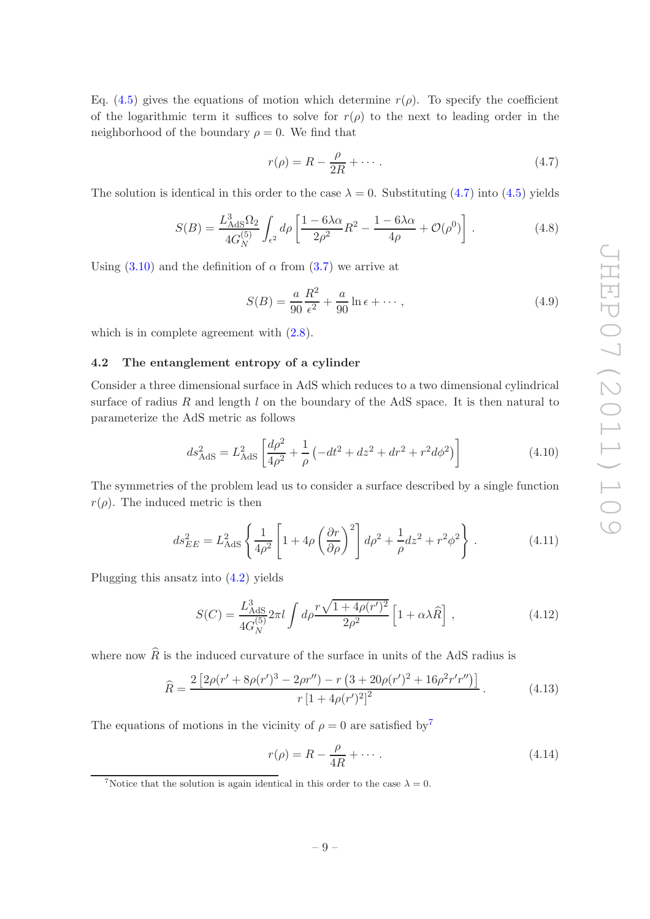Eq. [\(4.5\)](#page-9-2) gives the equations of motion which determine  $r(\rho)$ . To specify the coefficient of the logarithmic term it suffices to solve for  $r(\rho)$  to the next to leading order in the neighborhood of the boundary  $\rho = 0$ . We find that

<span id="page-10-1"></span>
$$
r(\rho) = R - \frac{\rho}{2R} + \dotsb \tag{4.7}
$$

The solution is identical in this order to the case  $\lambda = 0$ . Substituting [\(4.7\)](#page-10-1) into [\(4.5\)](#page-9-2) yields

$$
S(B) = \frac{L_{\text{AdS}}^3 \Omega_2}{4G_N^{(5)}} \int_{\epsilon^2} d\rho \left[ \frac{1 - 6\lambda \alpha}{2\rho^2} R^2 - \frac{1 - 6\lambda \alpha}{4\rho} + \mathcal{O}(\rho^0) \right]. \tag{4.8}
$$

Using  $(3.10)$  and the definition of  $\alpha$  from  $(3.7)$  we arrive at

$$
S(B) = \frac{a}{90} \frac{R^2}{\epsilon^2} + \frac{a}{90} \ln \epsilon + \cdots, \qquad (4.9)
$$

<span id="page-10-0"></span>which is in complete agreement with  $(2.8)$ .

#### 4.2 The entanglement entropy of a cylinder

Consider a three dimensional surface in AdS which reduces to a two dimensional cylindrical surface of radius  $R$  and length  $l$  on the boundary of the AdS space. It is then natural to parameterize the AdS metric as follows

$$
ds_{\text{AdS}}^2 = L_{\text{AdS}}^2 \left[ \frac{d\rho^2}{4\rho^2} + \frac{1}{\rho} \left( -dt^2 + dz^2 + dr^2 + r^2 d\phi^2 \right) \right]
$$
(4.10)

The symmetries of the problem lead us to consider a surface described by a single function  $r(\rho)$ . The induced metric is then

$$
ds_{EE}^2 = L_{\text{AdS}}^2 \left\{ \frac{1}{4\rho^2} \left[ 1 + 4\rho \left( \frac{\partial r}{\partial \rho} \right)^2 \right] d\rho^2 + \frac{1}{\rho} dz^2 + r^2 \phi^2 \right\} \,. \tag{4.11}
$$

Plugging this ansatz into [\(4.2\)](#page-8-3) yields

<span id="page-10-4"></span>
$$
S(C) = \frac{L_{\text{AdS}}^3}{4G_N^{(5)}} 2\pi l \int d\rho \frac{r\sqrt{1 + 4\rho(r')^2}}{2\rho^2} \left[1 + \alpha \lambda \hat{R}\right],\tag{4.12}
$$

where now  $\widehat{R}$  is the induced curvature of the surface in units of the AdS radius is

<span id="page-10-5"></span>
$$
\widehat{R} = \frac{2\left[2\rho(r' + 8\rho(r')^3 - 2\rho r'') - r\left(3 + 20\rho(r')^2 + 16\rho^2 r' r''\right)\right]}{r\left[1 + 4\rho(r')^2\right]^2}.
$$
\n(4.13)

The equations of motions in the vicinity of  $\rho = 0$  are satisfied by<sup>[7](#page-10-2)</sup>

<span id="page-10-3"></span>
$$
r(\rho) = R - \frac{\rho}{4R} + \cdots. \tag{4.14}
$$

<span id="page-10-2"></span><sup>&</sup>lt;sup>7</sup>Notice that the solution is again identical in this order to the case  $\lambda = 0$ .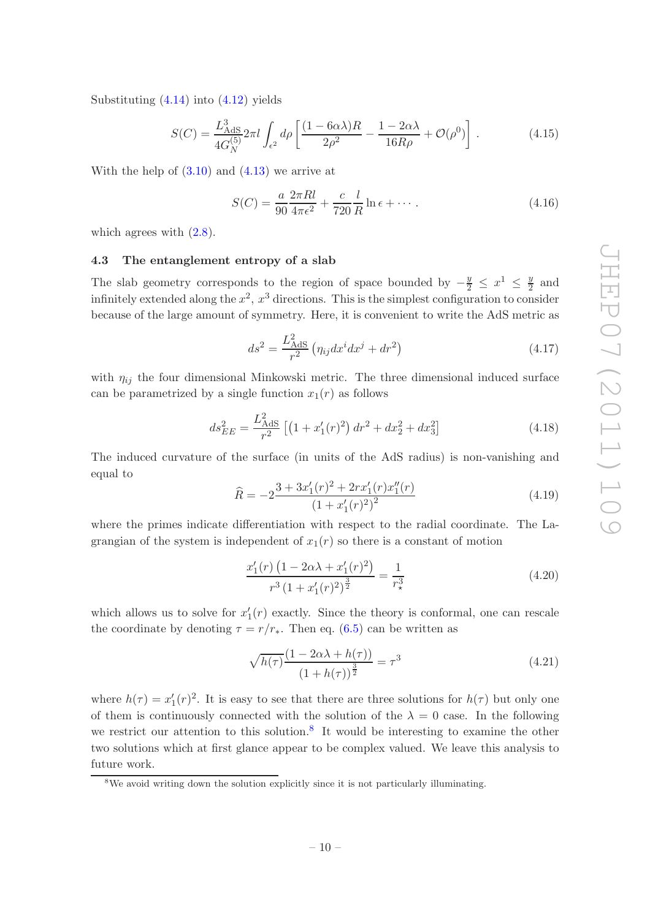Substituting  $(4.14)$  into  $(4.12)$  yields

$$
S(C) = \frac{L_{\text{AdS}}^3}{4G_N^{(5)}} 2\pi l \int_{\epsilon^2} d\rho \left[ \frac{(1 - 6\alpha\lambda)R}{2\rho^2} - \frac{1 - 2\alpha\lambda}{16R\rho} + \mathcal{O}(\rho^0) \right].
$$
 (4.15)

With the help of  $(3.10)$  and  $(4.13)$  we arrive at

$$
S(C) = \frac{a}{90} \frac{2\pi Rl}{4\pi\epsilon^2} + \frac{c}{720} \frac{l}{R} \ln \epsilon + \dotsb. \tag{4.16}
$$

<span id="page-11-0"></span>which agrees with  $(2.8)$ .

#### 4.3 The entanglement entropy of a slab

The slab geometry corresponds to the region of space bounded by  $-\frac{y}{2} \leq x^1 \leq \frac{y}{2}$  $\frac{y}{2}$  and infinitely extended along the  $x^2$ ,  $x^3$  directions. This is the simplest configuration to consider because of the large amount of symmetry. Here, it is convenient to write the AdS metric as

$$
ds^{2} = \frac{L_{\text{AdS}}^{2}}{r^{2}} \left( \eta_{ij} dx^{i} dx^{j} + dr^{2} \right)
$$
 (4.17)

with  $\eta_{ij}$  the four dimensional Minkowski metric. The three dimensional induced surface can be parametrized by a single function  $x_1(r)$  as follows

$$
ds_{EE}^2 = \frac{L_{\text{AdS}}^2}{r^2} \left[ \left( 1 + x_1'(r)^2 \right) dr^2 + dx_2^2 + dx_3^2 \right] \tag{4.18}
$$

The induced curvature of the surface (in units of the AdS radius) is non-vanishing and equal to

$$
\widehat{R} = -2\frac{3 + 3x_1'(r)^2 + 2rx_1'(r)x_1''(r)}{(1 + x_1'(r))^2} \tag{4.19}
$$

where the primes indicate differentiation with respect to the radial coordinate. The Lagrangian of the system is independent of  $x_1(r)$  so there is a constant of motion

$$
\frac{x_1'(r)\left(1 - 2\alpha\lambda + x_1'(r)^2\right)}{r^3\left(1 + x_1'(r)^2\right)^{\frac{3}{2}}} = \frac{1}{r_\star^3} \tag{4.20}
$$

which allows us to solve for  $x_1'(r)$  exactly. Since the theory is conformal, one can rescale the coordinate by denoting  $\tau = r/r_*$ . Then eq. [\(6.5\)](#page-16-0) can be written as

<span id="page-11-2"></span>
$$
\sqrt{h(\tau)} \frac{(1 - 2\alpha\lambda + h(\tau))}{(1 + h(\tau))^{\frac{3}{2}}} = \tau^3
$$
\n(4.21)

where  $h(\tau) = x_1'(\tau)^2$ . It is easy to see that there are three solutions for  $h(\tau)$  but only one of them is continuously connected with the solution of the  $\lambda = 0$  case. In the following we restrict our attention to this solution.<sup>[8](#page-11-1)</sup> It would be interesting to examine the other two solutions which at first glance appear to be complex valued. We leave this analysis to future work.

<span id="page-11-1"></span><sup>&</sup>lt;sup>8</sup>We avoid writing down the solution explicitly since it is not particularly illuminating.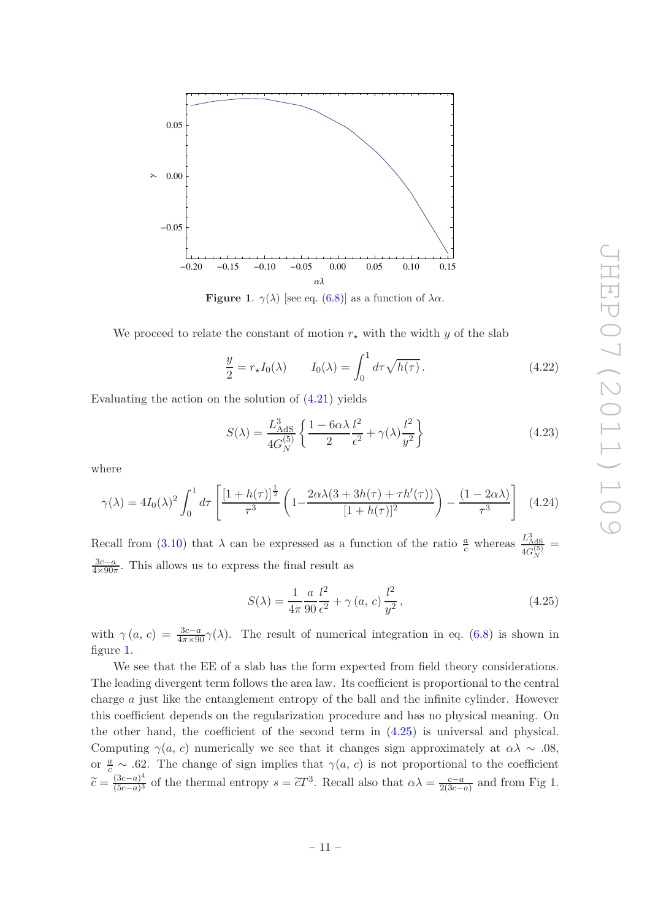

<span id="page-12-0"></span>**Figure 1.**  $\gamma(\lambda)$  [see eq. [\(6.8\)](#page-16-1)] as a function of  $\lambda \alpha$ .

We proceed to relate the constant of motion  $r_{\star}$  with the width y of the slab

$$
\frac{y}{2} = r_{\star} I_0(\lambda) \qquad I_0(\lambda) = \int_0^1 d\tau \sqrt{h(\tau)} \,. \tag{4.22}
$$

Evaluating the action on the solution of [\(4.21\)](#page-11-2) yields

$$
S(\lambda) = \frac{L_{\text{AdS}}^3}{4G_N^{(5)}} \left\{ \frac{1 - 6\alpha\lambda}{2} \frac{l^2}{\epsilon^2} + \gamma(\lambda) \frac{l^2}{y^2} \right\}
$$
(4.23)

where

$$
\gamma(\lambda) = 4I_0(\lambda)^2 \int_0^1 d\tau \left[ \frac{[1 + h(\tau)]^{\frac{1}{2}}}{\tau^3} \left( 1 - \frac{2\alpha\lambda(3 + 3h(\tau) + \tau h'(\tau))}{[1 + h(\tau)]^2} \right) - \frac{(1 - 2\alpha\lambda)}{\tau^3} \right] \tag{4.24}
$$

Recall from [\(3.10\)](#page-7-1) that  $\lambda$  can be expressed as a function of the ratio  $\frac{a}{c}$  whereas  $\frac{L_{\text{AdS}}^3}{4G^{(5)}}$  $4G_N^{(5)}$ =  $\frac{3c-a}{\sqrt{2a}}$  $\frac{3c-a}{4\times90\pi}$ . This allows us to express the final result as

<span id="page-12-1"></span>
$$
S(\lambda) = \frac{1}{4\pi} \frac{a}{90} \frac{l^2}{\epsilon^2} + \gamma(a, c) \frac{l^2}{y^2},
$$
\n(4.25)

with  $\gamma(a, c) = \frac{3c-a}{4\pi \times 90} \gamma(\lambda)$ . The result of numerical integration in eq. [\(6.8\)](#page-16-1) is shown in figure [1.](#page-12-0)

We see that the EE of a slab has the form expected from field theory considerations. The leading divergent term follows the area law. Its coefficient is proportional to the central charge a just like the entanglement entropy of the ball and the infinite cylinder. However this coefficient depends on the regularization procedure and has no physical meaning. On the other hand, the coefficient of the second term in [\(4.25\)](#page-12-1) is universal and physical. Computing  $\gamma(a, c)$  numerically we see that it changes sign approximately at  $\alpha \lambda \sim .08$ , or  $\frac{a}{c}$  ~ .62. The change of sign implies that  $\gamma(a, c)$  is not proportional to the coefficient  $\widetilde{c} = \frac{(3c-a)^4}{(5c-a)^3}$  $\frac{(3c-a)^4}{(5c-a)^3}$  of the thermal entropy  $s = \tilde{c}T^3$ . Recall also that  $\alpha\lambda = \frac{c-a}{2(3c-a)}$  $\frac{c-a}{2(3c-a)}$  and from Fig 1.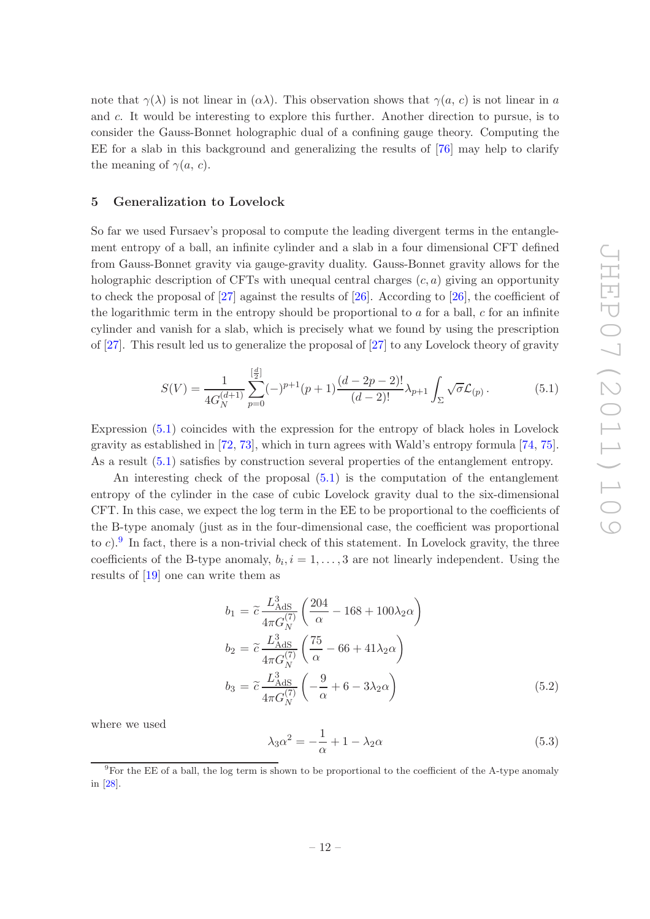note that  $\gamma(\lambda)$  is not linear in  $(\alpha \lambda)$ . This observation shows that  $\gamma(a, c)$  is not linear in a and c. It would be interesting to explore this further. Another direction to pursue, is to consider the Gauss-Bonnet holographic dual of a confining gauge theory. Computing the EE for a slab in this background and generalizing the results of [\[76](#page-27-4)] may help to clarify the meaning of  $\gamma(a, c)$ .

#### <span id="page-13-0"></span>5 Generalization to Lovelock

So far we used Fursaev's proposal to compute the leading divergent terms in the entanglement entropy of a ball, an infinite cylinder and a slab in a four dimensional CFT defined from Gauss-Bonnet gravity via gauge-gravity duality. Gauss-Bonnet gravity allows for the holographic description of CFTs with unequal central charges  $(c, a)$  giving an opportunity to check the proposal of [\[27](#page-25-2)] against the results of [\[26\]](#page-25-1). According to [\[26\]](#page-25-1), the coefficient of the logarithmic term in the entropy should be proportional to  $a$  for a ball,  $c$  for an infinite cylinder and vanish for a slab, which is precisely what we found by using the prescription of [\[27\]](#page-25-2). This result led us to generalize the proposal of [\[27](#page-25-2)] to any Lovelock theory of gravity

<span id="page-13-1"></span>
$$
S(V) = \frac{1}{4G_N^{(d+1)}} \sum_{p=0}^{\left[\frac{d}{2}\right]} (-)^{p+1}(p+1) \frac{(d-2p-2)!}{(d-2)!} \lambda_{p+1} \int_{\Sigma} \sqrt{\sigma} \mathcal{L}_{(p)}.
$$
 (5.1)

Expression [\(5.1\)](#page-13-1) coincides with the expression for the entropy of black holes in Lovelock gravity as established in [\[72](#page-27-2), [73](#page-27-5)], which in turn agrees with Wald's entropy formula [\[74,](#page-27-6) [75\]](#page-27-3). As a result [\(5.1\)](#page-13-1) satisfies by construction several properties of the entanglement entropy.

An interesting check of the proposal [\(5.1\)](#page-13-1) is the computation of the entanglement entropy of the cylinder in the case of cubic Lovelock gravity dual to the six-dimensional CFT. In this case, we expect the log term in the EE to be proportional to the coefficients of the B-type anomaly (just as in the four-dimensional case, the coefficient was proportional to c). In fact, there is a non-trivial check of this statement. In Lovelock gravity, the three coefficients of the B-type anomaly,  $b_i$ ,  $i = 1, ..., 3$  are not linearly independent. Using the results of [\[19](#page-24-11)] one can write them as

<span id="page-13-4"></span>
$$
b_1 = \tilde{c} \frac{L_{\text{AdS}}^3}{4\pi G_N^{(7)}} \left( \frac{204}{\alpha} - 168 + 100\lambda_2 \alpha \right)
$$
  
\n
$$
b_2 = \tilde{c} \frac{L_{\text{AdS}}^3}{4\pi G_N^{(7)}} \left( \frac{75}{\alpha} - 66 + 41\lambda_2 \alpha \right)
$$
  
\n
$$
b_3 = \tilde{c} \frac{L_{\text{AdS}}^3}{4\pi G_N^{(7)}} \left( -\frac{9}{\alpha} + 6 - 3\lambda_2 \alpha \right)
$$
\n(5.2)

where we used

<span id="page-13-3"></span>
$$
\lambda_3 \alpha^2 = -\frac{1}{\alpha} + 1 - \lambda_2 \alpha \tag{5.3}
$$

<span id="page-13-2"></span><sup>9</sup>For the EE of a ball, the log term is shown to be proportional to the coefficient of the A-type anomaly in [\[28\]](#page-25-3).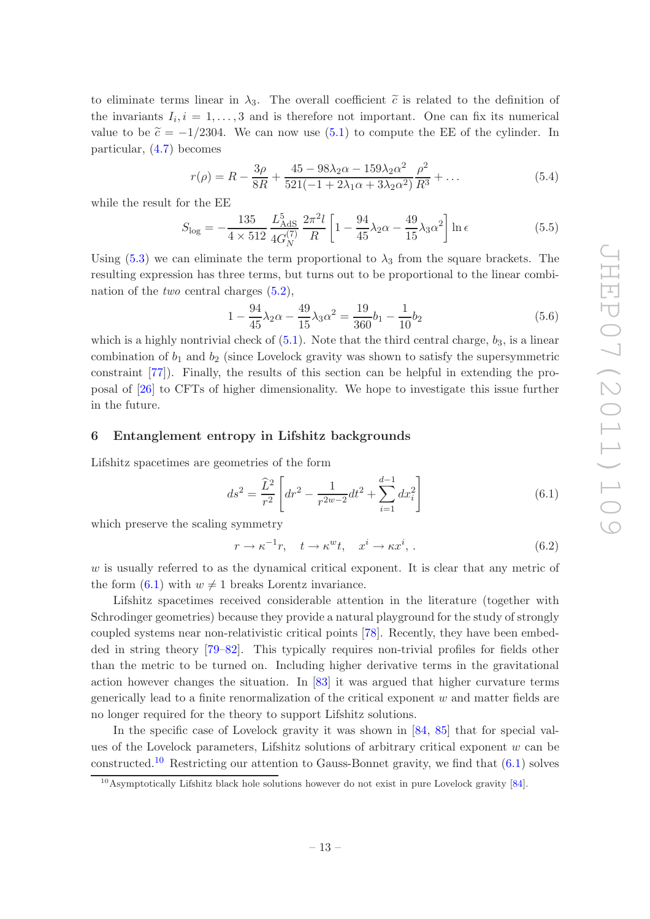to eliminate terms linear in  $\lambda_3$ . The overall coefficient  $\tilde{c}$  is related to the definition of the invariants  $I_i, i = 1, \ldots, 3$  and is therefore not important. One can fix its numerical value to be  $\tilde{c} = -1/2304$ . We can now use [\(5.1\)](#page-13-1) to compute the EE of the cylinder. In particular, [\(4.7\)](#page-10-1) becomes

$$
r(\rho) = R - \frac{3\rho}{8R} + \frac{45 - 98\lambda_2\alpha - 159\lambda_2\alpha^2}{521(-1 + 2\lambda_1\alpha + 3\lambda_2\alpha^2)}\frac{\rho^2}{R^3} + \dots
$$
 (5.4)

while the result for the EE

$$
S_{\text{log}} = -\frac{135}{4 \times 512} \frac{L_{\text{AdS}}^5}{4G_N^{(7)}} \frac{2\pi^2 l}{R} \left[ 1 - \frac{94}{45} \lambda_2 \alpha - \frac{49}{15} \lambda_3 \alpha^2 \right] \ln \epsilon \tag{5.5}
$$

Using [\(5.3\)](#page-13-3) we can eliminate the term proportional to  $\lambda_3$  from the square brackets. The resulting expression has three terms, but turns out to be proportional to the linear combination of the *two* central charges [\(5.2\)](#page-13-4),

$$
1 - \frac{94}{45}\lambda_2 \alpha - \frac{49}{15}\lambda_3 \alpha^2 = \frac{19}{360}b_1 - \frac{1}{10}b_2\tag{5.6}
$$

which is a highly nontrivial check of  $(5.1)$ . Note that the third central charge,  $b_3$ , is a linear combination of  $b_1$  and  $b_2$  (since Lovelock gravity was shown to satisfy the supersymmetric constraint [\[77](#page-27-7)]). Finally, the results of this section can be helpful in extending the proposal of [\[26\]](#page-25-1) to CFTs of higher dimensionality. We hope to investigate this issue further in the future.

#### <span id="page-14-0"></span>6 Entanglement entropy in Lifshitz backgrounds

Lifshitz spacetimes are geometries of the form

<span id="page-14-1"></span>
$$
ds^{2} = \frac{\widehat{L}^{2}}{r^{2}} \left[ dr^{2} - \frac{1}{r^{2w-2}} dt^{2} + \sum_{i=1}^{d-1} dx_{i}^{2} \right]
$$
 (6.1)

which preserve the scaling symmetry

$$
r \to \kappa^{-1} r, \quad t \to \kappa^w t, \quad x^i \to \kappa x^i, \tag{6.2}
$$

w is usually referred to as the dynamical critical exponent. It is clear that any metric of the form  $(6.1)$  with  $w \neq 1$  breaks Lorentz invariance.

Lifshitz spacetimes received considerable attention in the literature (together with Schrodinger geometries) because they provide a natural playground for the study of strongly coupled systems near non-relativistic critical points [\[78\]](#page-27-8). Recently, they have been embedded in string theory [\[79](#page-27-9)[–82](#page-27-10)]. This typically requires non-trivial profiles for fields other than the metric to be turned on. Including higher derivative terms in the gravitational action however changes the situation. In [\[83](#page-27-11)] it was argued that higher curvature terms generically lead to a finite renormalization of the critical exponent  $w$  and matter fields are no longer required for the theory to support Lifshitz solutions.

In the specific case of Lovelock gravity it was shown in [\[84,](#page-28-0) [85](#page-28-1)] that for special values of the Lovelock parameters, Lifshitz solutions of arbitrary critical exponent  $w$  can be constructed.<sup>[10](#page-14-2)</sup> Restricting our attention to Gauss-Bonnet gravity, we find that  $(6.1)$  solves

<span id="page-14-2"></span><sup>&</sup>lt;sup>10</sup>Asymptotically Lifshitz black hole solutions however do not exist in pure Lovelock gravity [\[84](#page-28-0)].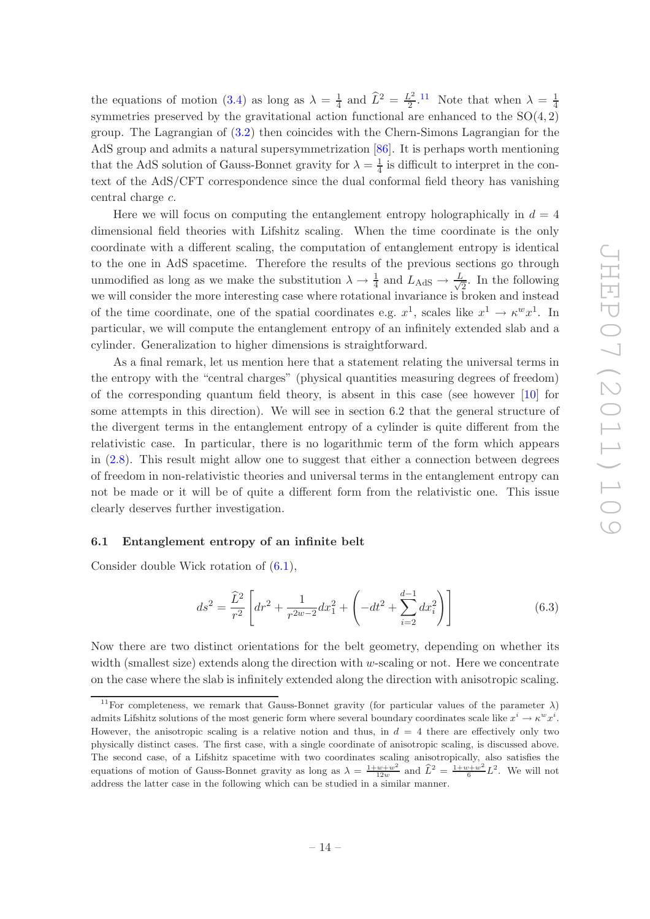the equations of motion [\(3.4\)](#page-6-2) as long as  $\lambda = \frac{1}{4}$  $rac{1}{4}$  and  $\widehat{L}^2 = \frac{L^2}{2}$  $\frac{L^2}{2}$ .<sup>[11](#page-15-1)</sup> Note that when  $\lambda = \frac{1}{4}$ 4 symmetries preserved by the gravitational action functional are enhanced to the  $SO(4,2)$ group. The Lagrangian of [\(3.2\)](#page-6-1) then coincides with the Chern-Simons Lagrangian for the AdS group and admits a natural supersymmetrization [\[86](#page-28-2)]. It is perhaps worth mentioning that the AdS solution of Gauss-Bonnet gravity for  $\lambda = \frac{1}{4}$  $\frac{1}{4}$  is difficult to interpret in the context of the AdS/CFT correspondence since the dual conformal field theory has vanishing central charge c.

Here we will focus on computing the entanglement entropy holographically in  $d = 4$ dimensional field theories with Lifshitz scaling. When the time coordinate is the only coordinate with a different scaling, the computation of entanglement entropy is identical to the one in AdS spacetime. Therefore the results of the previous sections go through unmodified as long as we make the substitution  $\lambda \to \frac{1}{4}$  and  $L_{\text{AdS}} \to \frac{L}{\sqrt{2}}$  $\frac{2}{2}$ . In the following we will consider the more interesting case where rotational invariance is broken and instead of the time coordinate, one of the spatial coordinates e.g.  $x^1$ , scales like  $x^1 \to \kappa^w x^1$ . In particular, we will compute the entanglement entropy of an infinitely extended slab and a cylinder. Generalization to higher dimensions is straightforward.

As a final remark, let us mention here that a statement relating the universal terms in the entropy with the "central charges" (physical quantities measuring degrees of freedom) of the corresponding quantum field theory, is absent in this case (see however [\[10\]](#page-24-8) for some attempts in this direction). We will see in section 6.2 that the general structure of the divergent terms in the entanglement entropy of a cylinder is quite different from the relativistic case. In particular, there is no logarithmic term of the form which appears in [\(2.8\)](#page-5-2). This result might allow one to suggest that either a connection between degrees of freedom in non-relativistic theories and universal terms in the entanglement entropy can not be made or it will be of quite a different form from the relativistic one. This issue clearly deserves further investigation.

#### <span id="page-15-0"></span>6.1 Entanglement entropy of an infinite belt

Consider double Wick rotation of [\(6.1\)](#page-14-1),

$$
ds^{2} = \frac{\widehat{L}^{2}}{r^{2}} \left[ dr^{2} + \frac{1}{r^{2w-2}} dx_{1}^{2} + \left( -dt^{2} + \sum_{i=2}^{d-1} dx_{i}^{2} \right) \right]
$$
(6.3)

Now there are two distinct orientations for the belt geometry, depending on whether its width (smallest size) extends along the direction with  $w$ -scaling or not. Here we concentrate on the case where the slab is infinitely extended along the direction with anisotropic scaling.

<span id="page-15-1"></span><sup>&</sup>lt;sup>11</sup>For completeness, we remark that Gauss-Bonnet gravity (for particular values of the parameter  $\lambda$ ) admits Lifshitz solutions of the most generic form where several boundary coordinates scale like  $x^i \to \kappa^w x^i$ . However, the anisotropic scaling is a relative notion and thus, in  $d = 4$  there are effectively only two physically distinct cases. The first case, with a single coordinate of anisotropic scaling, is discussed above. The second case, of a Lifshitz spacetime with two coordinates scaling anisotropically, also satisfies the equations of motion of Gauss-Bonnet gravity as long as  $\lambda = \frac{1+w+w^2}{12w}$  and  $\hat{L}^2 = \frac{1+w+w^2}{6}L^2$ . We will not address the latter case in the following which can be studied in a similar manner.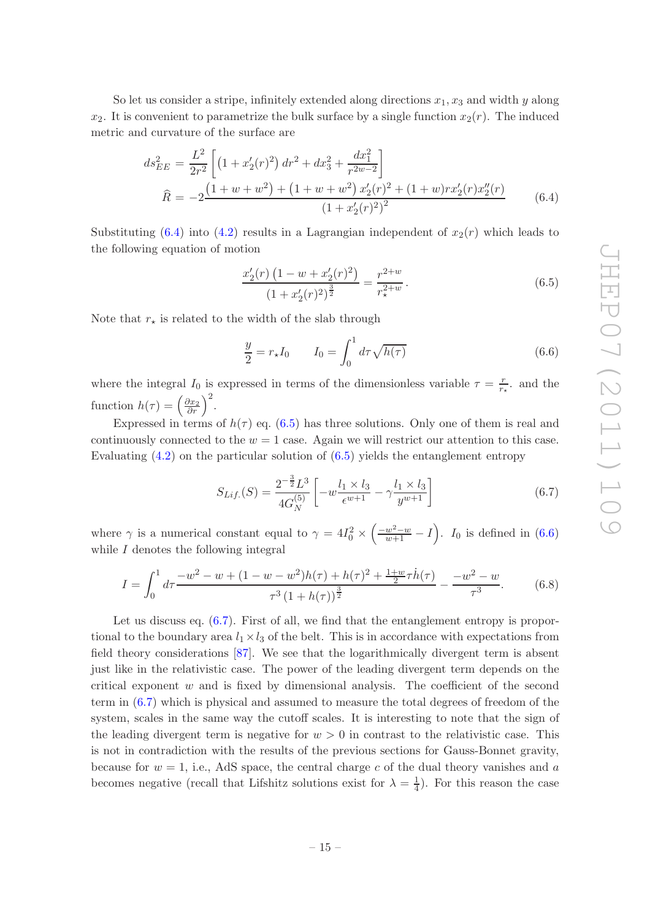So let us consider a stripe, infinitely extended along directions  $x_1, x_3$  and width y along  $x_2$ . It is convenient to parametrize the bulk surface by a single function  $x_2(r)$ . The induced metric and curvature of the surface are

<span id="page-16-2"></span>
$$
ds_{EE}^2 = \frac{L^2}{2r^2} \left[ \left( 1 + x_2'(r)^2 \right) dr^2 + dx_3^2 + \frac{dx_1^2}{r^{2w-2}} \right]
$$
  

$$
\widehat{R} = -2 \frac{\left( 1 + w + w^2 \right) + \left( 1 + w + w^2 \right) x_2'(r)^2 + \left( 1 + w \right) rx_2'(r) x_2''(r)}{\left( 1 + x_2'(r)^2 \right)^2} \tag{6.4}
$$

Substituting [\(6.4\)](#page-16-2) into [\(4.2\)](#page-8-3) results in a Lagrangian independent of  $x_2(r)$  which leads to the following equation of motion

<span id="page-16-0"></span>
$$
\frac{x_2'(r)\left(1-w+x_2'(r)^2\right)}{\left(1+x_2'(r)^2\right)^{\frac{3}{2}}} = \frac{r^{2+w}}{r_\star^{2+w}}.\tag{6.5}
$$

Note that  $r_{\star}$  is related to the width of the slab through

<span id="page-16-3"></span>
$$
\frac{y}{2} = r_{\star} I_0 \qquad I_0 = \int_0^1 d\tau \sqrt{h(\tau)} \tag{6.6}
$$

where the integral  $I_0$  is expressed in terms of the dimensionless variable  $\tau = \frac{r}{r}$  $\frac{r}{r_{\star}}$  and the function  $h(\tau) = \left(\frac{\partial x_2}{\partial r}\right)^2$ .

Expressed in terms of  $h(\tau)$  eq. [\(6.5\)](#page-16-0) has three solutions. Only one of them is real and continuously connected to the  $w = 1$  case. Again we will restrict our attention to this case. Evaluating  $(4.2)$  on the particular solution of  $(6.5)$  yields the entanglement entropy

<span id="page-16-4"></span>
$$
S_{Lif.}(S) = \frac{2^{-\frac{3}{2}}L^3}{4G_N^{(5)}} \left[ -w \frac{l_1 \times l_3}{\epsilon^{w+1}} - \gamma \frac{l_1 \times l_3}{y^{w+1}} \right]
$$
(6.7)

where  $\gamma$  is a numerical constant equal to  $\gamma = 4I_0^2 \times$  $\left(\frac{-w^2-w}{w+1}-I\right)$ . I<sub>0</sub> is defined in [\(6.6\)](#page-16-3) while  $I$  denotes the following integral

<span id="page-16-1"></span>
$$
I = \int_0^1 d\tau \frac{-w^2 - w + (1 - w - w^2)h(\tau) + h(\tau)^2 + \frac{1 + w}{2}\tau \dot{h}(\tau)}{\tau^3 (1 + h(\tau))^{\frac{3}{2}}} - \frac{-w^2 - w}{\tau^3}.
$$
 (6.8)

Let us discuss eq.  $(6.7)$ . First of all, we find that the entanglement entropy is proportional to the boundary area  $l_1 \times l_3$  of the belt. This is in accordance with expectations from field theory considerations [\[87](#page-28-3)]. We see that the logarithmically divergent term is absent just like in the relativistic case. The power of the leading divergent term depends on the critical exponent  $w$  and is fixed by dimensional analysis. The coefficient of the second term in [\(6.7\)](#page-16-4) which is physical and assumed to measure the total degrees of freedom of the system, scales in the same way the cutoff scales. It is interesting to note that the sign of the leading divergent term is negative for  $w > 0$  in contrast to the relativistic case. This is not in contradiction with the results of the previous sections for Gauss-Bonnet gravity, because for  $w = 1$ , i.e., AdS space, the central charge c of the dual theory vanishes and a becomes negative (recall that Lifshitz solutions exist for  $\lambda = \frac{1}{4}$ ). For this reason the case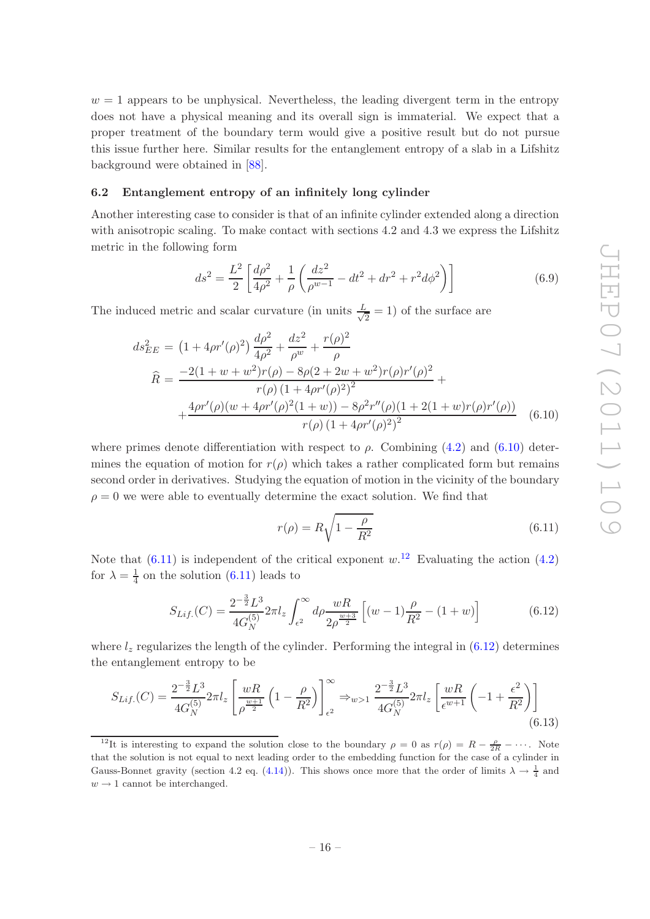$w = 1$  appears to be unphysical. Nevertheless, the leading divergent term in the entropy does not have a physical meaning and its overall sign is immaterial. We expect that a proper treatment of the boundary term would give a positive result but do not pursue this issue further here. Similar results for the entanglement entropy of a slab in a Lifshitz background were obtained in [\[88\]](#page-28-4).

#### <span id="page-17-0"></span>6.2 Entanglement entropy of an infinitely long cylinder

Another interesting case to consider is that of an infinite cylinder extended along a direction with anisotropic scaling. To make contact with sections 4.2 and 4.3 we express the Lifshitz metric in the following form

$$
ds^{2} = \frac{L^{2}}{2} \left[ \frac{d\rho^{2}}{4\rho^{2}} + \frac{1}{\rho} \left( \frac{dz^{2}}{\rho^{w-1}} - dt^{2} + dr^{2} + r^{2}d\phi^{2} \right) \right]
$$
(6.9)

The induced metric and scalar curvature (in units  $\frac{L}{\sqrt{2}}$  $\frac{2}{2}$  = 1) of the surface are

<span id="page-17-1"></span>
$$
ds_{EE}^2 = \left(1 + 4\rho r'(\rho)^2\right) \frac{d\rho^2}{4\rho^2} + \frac{dz^2}{\rho^w} + \frac{r(\rho)^2}{\rho}
$$
  

$$
\hat{R} = \frac{-2(1+w+w^2)r(\rho) - 8\rho(2+2w+w^2)r(\rho)r'(\rho)^2}{r(\rho)\left(1+4\rho r'(\rho)^2\right)^2} + \frac{4\rho r'(\rho)(w+4\rho r'(\rho)^2(1+w)) - 8\rho^2 r''(\rho)(1+2(1+w)r(\rho)r'(\rho))}{r(\rho)\left(1+4\rho r'(\rho)^2\right)^2} \tag{6.10}
$$

where primes denote differentiation with respect to  $\rho$ . Combining [\(4.2\)](#page-8-3) and [\(6.10\)](#page-17-1) determines the equation of motion for  $r(\rho)$  which takes a rather complicated form but remains second order in derivatives. Studying the equation of motion in the vicinity of the boundary  $\rho = 0$  we were able to eventually determine the exact solution. We find that

<span id="page-17-2"></span>
$$
r(\rho) = R\sqrt{1 - \frac{\rho}{R^2}}
$$
\n(6.11)

Note that  $(6.11)$  is independent of the critical exponent  $w<sup>12</sup>$  $w<sup>12</sup>$  $w<sup>12</sup>$  Evaluating the action  $(4.2)$ for  $\lambda = \frac{1}{4}$  $\frac{1}{4}$  on the solution [\(6.11\)](#page-17-2) leads to

<span id="page-17-4"></span>
$$
S_{Lif.}(C) = \frac{2^{-\frac{3}{2}}L^3}{4G_N^{(5)}} 2\pi l_z \int_{\epsilon^2}^{\infty} d\rho \frac{wR}{2\rho^{\frac{w+3}{2}}} \left[ (w-1)\frac{\rho}{R^2} - (1+w) \right]
$$
(6.12)

where  $l_z$  regularizes the length of the cylinder. Performing the integral in  $(6.12)$  determines the entanglement entropy to be

$$
S_{Lif.}(C) = \frac{2^{-\frac{3}{2}}L^3}{4G_N^{(5)}} 2\pi l_z \left[ \frac{wR}{\rho^{\frac{w+1}{2}}} \left( 1 - \frac{\rho}{R^2} \right) \right]_{\epsilon^2}^{\infty} \Rightarrow w > 1 \frac{2^{-\frac{3}{2}}L^3}{4G_N^{(5)}} 2\pi l_z \left[ \frac{wR}{\epsilon^{w+1}} \left( -1 + \frac{\epsilon^2}{R^2} \right) \right] \tag{6.13}
$$

<span id="page-17-3"></span><sup>&</sup>lt;sup>12</sup>It is interesting to expand the solution close to the boundary  $\rho = 0$  as  $r(\rho) = R - \frac{\rho}{2R} - \cdots$ . Note that the solution is not equal to next leading order to the embedding function for the case of a cylinder in Gauss-Bonnet gravity (section 4.2 eq. [\(4.14\)](#page-10-3)). This shows once more that the order of limits  $\lambda \to \frac{1}{4}$  and  $w \rightarrow 1$  cannot be interchanged.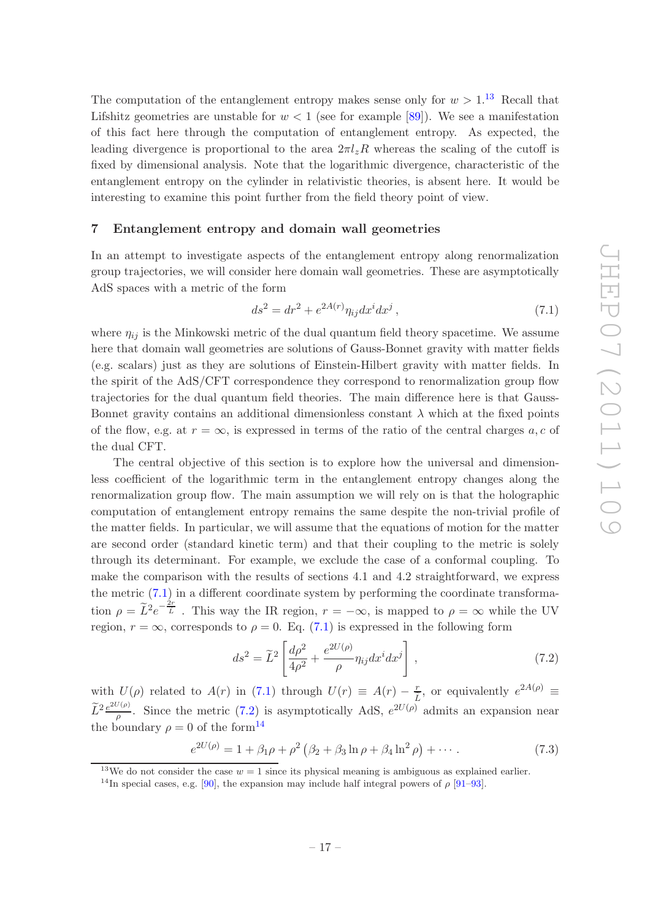The computation of the entanglement entropy makes sense only for  $w > 1$ .<sup>[13](#page-18-1)</sup> Recall that Lifshitz geometries are unstable for  $w < 1$  (see for example [\[89](#page-28-5)]). We see a manifestation of this fact here through the computation of entanglement entropy. As expected, the leading divergence is proportional to the area  $2\pi l_z R$  whereas the scaling of the cutoff is fixed by dimensional analysis. Note that the logarithmic divergence, characteristic of the entanglement entropy on the cylinder in relativistic theories, is absent here. It would be interesting to examine this point further from the field theory point of view.

#### <span id="page-18-0"></span>7 Entanglement entropy and domain wall geometries

In an attempt to investigate aspects of the entanglement entropy along renormalization group trajectories, we will consider here domain wall geometries. These are asymptotically AdS spaces with a metric of the form

<span id="page-18-2"></span>
$$
ds^{2} = dr^{2} + e^{2A(r)} \eta_{ij} dx^{i} dx^{j}, \qquad (7.1)
$$

where  $\eta_{ij}$  is the Minkowski metric of the dual quantum field theory spacetime. We assume here that domain wall geometries are solutions of Gauss-Bonnet gravity with matter fields (e.g. scalars) just as they are solutions of Einstein-Hilbert gravity with matter fields. In the spirit of the AdS/CFT correspondence they correspond to renormalization group flow trajectories for the dual quantum field theories. The main difference here is that Gauss-Bonnet gravity contains an additional dimensionless constant  $\lambda$  which at the fixed points of the flow, e.g. at  $r = \infty$ , is expressed in terms of the ratio of the central charges  $a, c$  of the dual CFT.

The central objective of this section is to explore how the universal and dimensionless coefficient of the logarithmic term in the entanglement entropy changes along the renormalization group flow. The main assumption we will rely on is that the holographic computation of entanglement entropy remains the same despite the non-trivial profile of the matter fields. In particular, we will assume that the equations of motion for the matter are second order (standard kinetic term) and that their coupling to the metric is solely through its determinant. For example, we exclude the case of a conformal coupling. To make the comparison with the results of sections 4.1 and 4.2 straightforward, we express the metric [\(7.1\)](#page-18-2) in a different coordinate system by performing the coordinate transformation  $\rho = \tilde{L}^2 e^{-\frac{2r}{\tilde{L}}}$ . This way the IR region,  $r = -\infty$ , is mapped to  $\rho = \infty$  while the UV region,  $r = \infty$ , corresponds to  $\rho = 0$ . Eq. [\(7.1\)](#page-18-2) is expressed in the following form

<span id="page-18-3"></span>
$$
ds^2 = \widetilde{L}^2 \left[ \frac{d\rho^2}{4\rho^2} + \frac{e^{2U(\rho)}}{\rho} \eta_{ij} dx^i dx^j \right],\tag{7.2}
$$

with  $U(\rho)$  related to  $A(r)$  in [\(7.1\)](#page-18-2) through  $U(r) \equiv A(r) - \frac{r}{\tilde{L}}$ , or equivalently  $e^{2A(\rho)} \equiv$  $\widetilde{L}^{2}\frac{e^{2U(\rho)}}{\rho}$  $\frac{\rho^{(p)}}{\rho}$ . Since the metric [\(7.2\)](#page-18-3) is asymptotically AdS,  $e^{2U(\rho)}$  admits an expansion near the boundary  $\rho = 0$  of the form<sup>[14](#page-18-4)</sup>

<span id="page-18-5"></span>
$$
e^{2U(\rho)} = 1 + \beta_1 \rho + \rho^2 \left( \beta_2 + \beta_3 \ln \rho + \beta_4 \ln^2 \rho \right) + \cdots. \tag{7.3}
$$

<sup>&</sup>lt;sup>13</sup>We do not consider the case  $w = 1$  since its physical meaning is ambiguous as explained earlier.

<span id="page-18-4"></span><span id="page-18-1"></span><sup>&</sup>lt;sup>14</sup>In special cases, e.g. [\[90\]](#page-28-6), the expansion may include half integral powers of  $\rho$  [\[91](#page-28-7)[–93](#page-28-8)].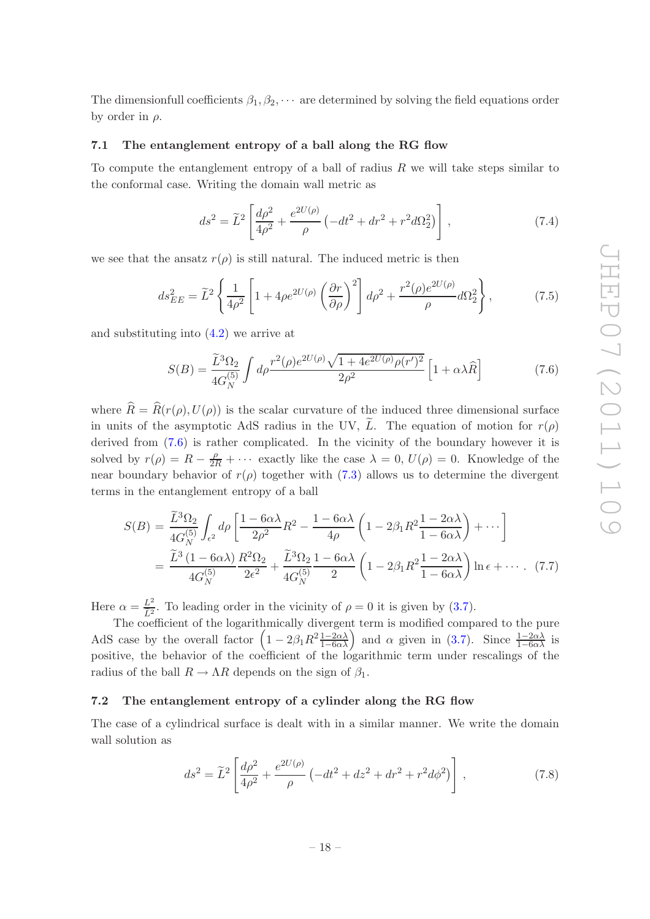The dimensionfull coefficients  $\beta_1, \beta_2, \cdots$  are determined by solving the field equations order by order in  $\rho$ .

#### <span id="page-19-0"></span>7.1 The entanglement entropy of a ball along the RG flow

To compute the entanglement entropy of a ball of radius  $R$  we will take steps similar to the conformal case. Writing the domain wall metric as

$$
ds^{2} = \tilde{L}^{2} \left[ \frac{d\rho^{2}}{4\rho^{2}} + \frac{e^{2U(\rho)}}{\rho} \left( -dt^{2} + dr^{2} + r^{2} d\Omega_{2}^{2} \right) \right],
$$
 (7.4)

we see that the ansatz  $r(\rho)$  is still natural. The induced metric is then

$$
ds_{EE}^2 = \tilde{L}^2 \left\{ \frac{1}{4\rho^2} \left[ 1 + 4\rho e^{2U(\rho)} \left( \frac{\partial r}{\partial \rho} \right)^2 \right] d\rho^2 + \frac{r^2(\rho)e^{2U(\rho)}}{\rho} d\Omega_2^2 \right\},\tag{7.5}
$$

and substituting into [\(4.2\)](#page-8-3) we arrive at

<span id="page-19-2"></span>
$$
S(B) = \frac{\tilde{L}^3 \Omega_2}{4G_N^{(5)}} \int d\rho \frac{r^2(\rho)e^{2U(\rho)} \sqrt{1 + 4e^{2U(\rho)} \rho(r')^2}}{2\rho^2} \left[1 + \alpha \lambda \hat{R}\right]
$$
(7.6)

where  $\hat{R} = \hat{R}(r(\rho), U(\rho))$  is the scalar curvature of the induced three dimensional surface in units of the asymptotic AdS radius in the UV,  $\tilde{L}$ . The equation of motion for  $r(\rho)$ derived from  $(7.6)$  is rather complicated. In the vicinity of the boundary however it is solved by  $r(\rho) = R - \frac{\rho}{2R} + \cdots$  exactly like the case  $\lambda = 0$ ,  $U(\rho) = 0$ . Knowledge of the near boundary behavior of  $r(\rho)$  together with [\(7.3\)](#page-18-5) allows us to determine the divergent terms in the entanglement entropy of a ball

$$
S(B) = \frac{\widetilde{L}^3 \Omega_2}{4G_N^{(5)}} \int_{\epsilon^2} d\rho \left[ \frac{1 - 6\alpha\lambda}{2\rho^2} R^2 - \frac{1 - 6\alpha\lambda}{4\rho} \left( 1 - 2\beta_1 R^2 \frac{1 - 2\alpha\lambda}{1 - 6\alpha\lambda} \right) + \cdots \right]
$$
  
= 
$$
\frac{\widetilde{L}^3 (1 - 6\alpha\lambda)}{4G_N^{(5)}} \frac{R^2 \Omega_2}{2\epsilon^2} + \frac{\widetilde{L}^3 \Omega_2}{4G_N^{(5)}} \frac{1 - 6\alpha\lambda}{2} \left( 1 - 2\beta_1 R^2 \frac{1 - 2\alpha\lambda}{1 - 6\alpha\lambda} \right) \ln \epsilon + \cdots
$$
 (7.7)

Here  $\alpha = \frac{L^2}{\tilde{L}^2}$ . To leading order in the vicinity of  $\rho = 0$  it is given by [\(3.7\)](#page-6-4).

The coefficient of the logarithmically divergent term is modified compared to the pure AdS case by the overall factor  $\left(1 - 2\beta_1 R^2 \frac{1 - 2\alpha\lambda}{1 - 6\alpha\lambda}\right)$  and  $\alpha$  given in [\(3.7\)](#page-6-4). Since  $\frac{1 - 2\alpha\lambda}{1 - 6\alpha\lambda}$  is positive, the behavior of the coefficient of the logarithmic term under rescalings of the radius of the ball  $R \to \Lambda R$  depends on the sign of  $\beta_1$ .

#### <span id="page-19-1"></span>7.2 The entanglement entropy of a cylinder along the RG flow

The case of a cylindrical surface is dealt with in a similar manner. We write the domain wall solution as

$$
ds^{2} = \tilde{L}^{2} \left[ \frac{d\rho^{2}}{4\rho^{2}} + \frac{e^{2U(\rho)}}{\rho} \left( -dt^{2} + dz^{2} + dr^{2} + r^{2}d\phi^{2} \right) \right],
$$
 (7.8)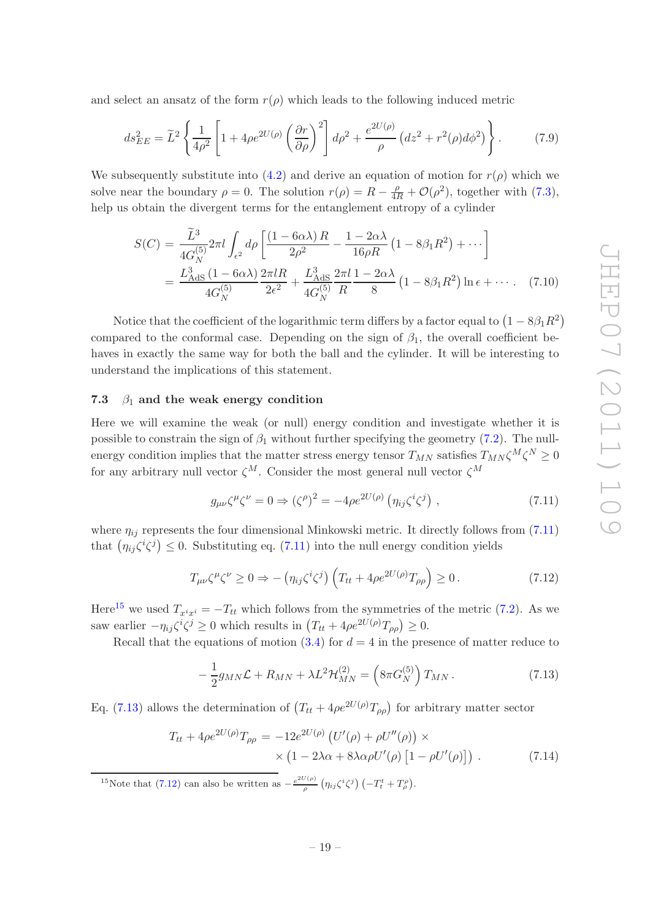and select an ansatz of the form  $r(\rho)$  which leads to the following induced metric

$$
ds_{EE}^2 = \tilde{L}^2 \left\{ \frac{1}{4\rho^2} \left[ 1 + 4\rho e^{2U(\rho)} \left( \frac{\partial r}{\partial \rho} \right)^2 \right] d\rho^2 + \frac{e^{2U(\rho)}}{\rho} \left( dz^2 + r^2(\rho) d\phi^2 \right) \right\}.
$$
 (7.9)

We subsequently substitute into [\(4.2\)](#page-8-3) and derive an equation of motion for  $r(\rho)$  which we solve near the boundary  $\rho = 0$ . The solution  $r(\rho) = R - \frac{\rho}{4R} + \mathcal{O}(\rho^2)$ , together with [\(7.3\)](#page-18-5), help us obtain the divergent terms for the entanglement entropy of a cylinder

$$
S(C) = \frac{\tilde{L}^3}{4G_N^{(5)}} 2\pi l \int_{\epsilon^2} d\rho \left[ \frac{(1 - 6\alpha\lambda) R}{2\rho^2} - \frac{1 - 2\alpha\lambda}{16\rho R} \left( 1 - 8\beta_1 R^2 \right) + \cdots \right]
$$
  
= 
$$
\frac{L_{\text{AdS}}^3 (1 - 6\alpha\lambda)}{4G_N^{(5)}} \frac{2\pi l R}{2\epsilon^2} + \frac{L_{\text{AdS}}^3}{4G_N^{(5)}} \frac{2\pi l}{R} \frac{1 - 2\alpha\lambda}{8} \left( 1 - 8\beta_1 R^2 \right) \ln \epsilon + \cdots. \tag{7.10}
$$

Notice that the coefficient of the logarithmic term differs by a factor equal to  $\left(1 - 8\beta_1 R^2\right)$ compared to the conformal case. Depending on the sign of  $\beta_1$ , the overall coefficient behaves in exactly the same way for both the ball and the cylinder. It will be interesting to understand the implications of this statement.

#### <span id="page-20-0"></span>7.3  $\beta_1$  and the weak energy condition

Here we will examine the weak (or null) energy condition and investigate whether it is possible to constrain the sign of  $\beta_1$  without further specifying the geometry [\(7.2\)](#page-18-3). The nullenergy condition implies that the matter stress energy tensor  $T_{MN}$  satisfies  $T_{MN}\zeta^M\zeta^N\geq 0$ for any arbitrary null vector  $\zeta^M$ . Consider the most general null vector  $\zeta^M$ 

<span id="page-20-1"></span>
$$
g_{\mu\nu}\zeta^{\mu}\zeta^{\nu} = 0 \Rightarrow (\zeta^{\rho})^2 = -4\rho e^{2U(\rho)} \left(\eta_{ij}\zeta^i\zeta^j\right) , \qquad (7.11)
$$

where  $\eta_{ij}$  represents the four dimensional Minkowski metric. It directly follows from [\(7.11\)](#page-20-1) that  $(\eta_{ij}\zeta^i\zeta^j) \leq 0$ . Substituting eq. [\(7.11\)](#page-20-1) into the null energy condition yields

<span id="page-20-4"></span>
$$
T_{\mu\nu}\zeta^{\mu}\zeta^{\nu} \ge 0 \Rightarrow -\left(\eta_{ij}\zeta^{i}\zeta^{j}\right)\left(T_{tt} + 4\rho e^{2U(\rho)}T_{\rho\rho}\right) \ge 0. \tag{7.12}
$$

Here<sup>[15](#page-20-2)</sup> we used  $T_{x^ix^i} = -T_{tt}$  which follows from the symmetries of the metric [\(7.2\)](#page-18-3). As we saw earlier  $-\eta_{ij}\zeta^i\zeta^j \ge 0$  which results in  $(T_{tt} + 4\rho e^{2U(\rho)}T_{\rho\rho}) \ge 0$ .

Recall that the equations of motion  $(3.4)$  for  $d = 4$  in the presence of matter reduce to

<span id="page-20-3"></span>
$$
-\frac{1}{2}g_{MN}\mathcal{L} + R_{MN} + \lambda L^2 \mathcal{H}_{MN}^{(2)} = \left(8\pi G_N^{(5)}\right)T_{MN}.
$$
 (7.13)

Eq. [\(7.13\)](#page-20-3) allows the determination of  $(T_{tt} + 4\rho e^{2U(\rho)}T_{\rho\rho})$  for arbitrary matter sector

<span id="page-20-5"></span>
$$
T_{tt} + 4\rho e^{2U(\rho)} T_{\rho\rho} = -12e^{2U(\rho)} \left( U'(\rho) + \rho U''(\rho) \right) \times \times \left( 1 - 2\lambda\alpha + 8\lambda\alpha\rho U'(\rho) \left[ 1 - \rho U'(\rho) \right] \right) . \tag{7.14}
$$

<span id="page-20-2"></span><sup>15</sup>Note that [\(7.12\)](#page-20-4) can also be written as  $-\frac{e^{2U(\rho)}}{2}$  $\frac{f(\rho )}{\rho }\left( \eta _{ij}\zeta ^{i}\zeta ^{j}\right) \left( -T_{t}^{t}+T_{\rho }^{\rho }\right) .$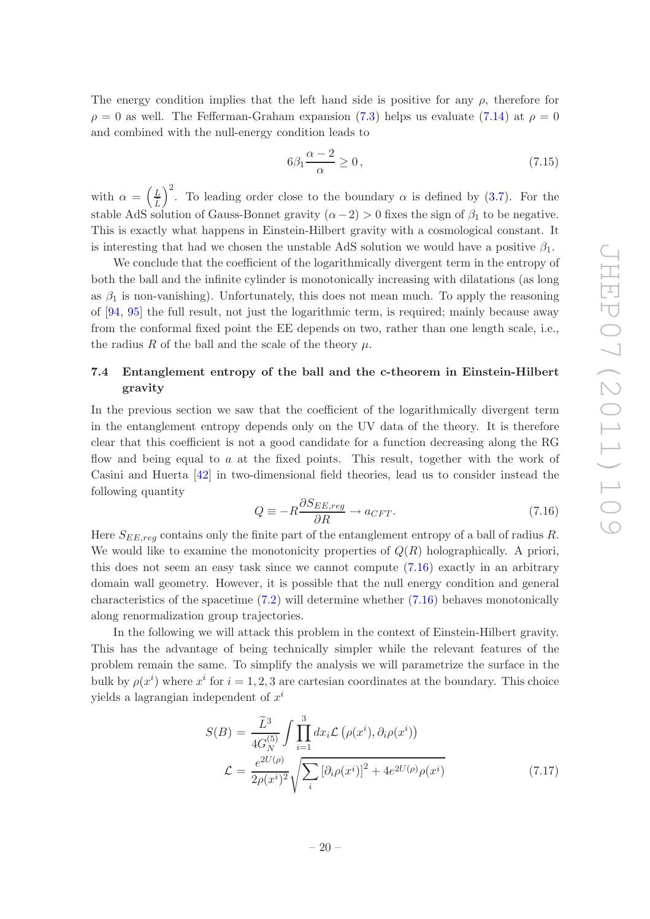The energy condition implies that the left hand side is positive for any  $\rho$ , therefore for  $\rho = 0$  as well. The Fefferman-Graham expansion [\(7.3\)](#page-18-5) helps us evaluate [\(7.14\)](#page-20-5) at  $\rho = 0$ and combined with the null-energy condition leads to

$$
6\beta_1 \frac{\alpha - 2}{\alpha} \ge 0\,,\tag{7.15}
$$

with  $\alpha = \left(\frac{L}{\tilde{L}}\right)$ )<sup>2</sup>. To leading order close to the boundary  $\alpha$  is defined by [\(3.7\)](#page-6-4). For the stable AdS solution of Gauss-Bonnet gravity  $(\alpha - 2) > 0$  fixes the sign of  $\beta_1$  to be negative. This is exactly what happens in Einstein-Hilbert gravity with a cosmological constant. It is interesting that had we chosen the unstable AdS solution we would have a positive  $\beta_1$ .

We conclude that the coefficient of the logarithmically divergent term in the entropy of both the ball and the infinite cylinder is monotonically increasing with dilatations (as long as  $\beta_1$  is non-vanishing). Unfortunately, this does not mean much. To apply the reasoning of [\[94,](#page-28-9) [95\]](#page-28-10) the full result, not just the logarithmic term, is required; mainly because away from the conformal fixed point the EE depends on two, rather than one length scale, i.e., the radius R of the ball and the scale of the theory  $\mu$ .

### <span id="page-21-0"></span>7.4 Entanglement entropy of the ball and the c-theorem in Einstein-Hilbert gravity

In the previous section we saw that the coefficient of the logarithmically divergent term in the entanglement entropy depends only on the UV data of the theory. It is therefore clear that this coefficient is not a good candidate for a function decreasing along the RG flow and being equal to a at the fixed points. This result, together with the work of Casini and Huerta [\[42\]](#page-26-0) in two-dimensional field theories, lead us to consider instead the following quantity

<span id="page-21-1"></span>
$$
Q \equiv -R \frac{\partial S_{EE,reg}}{\partial R} \to a_{CFT}.
$$
\n(7.16)

Here  $S_{EE,req}$  contains only the finite part of the entanglement entropy of a ball of radius R. We would like to examine the monotonicity properties of  $Q(R)$  holographically. A priori, this does not seem an easy task since we cannot compute [\(7.16\)](#page-21-1) exactly in an arbitrary domain wall geometry. However, it is possible that the null energy condition and general characteristics of the spacetime [\(7.2\)](#page-18-3) will determine whether [\(7.16\)](#page-21-1) behaves monotonically along renormalization group trajectories.

In the following we will attack this problem in the context of Einstein-Hilbert gravity. This has the advantage of being technically simpler while the relevant features of the problem remain the same. To simplify the analysis we will parametrize the surface in the bulk by  $\rho(x^i)$  where  $x^i$  for  $i = 1, 2, 3$  are cartesian coordinates at the boundary. This choice yields a lagrangian independent of  $x^i$ 

<span id="page-21-2"></span>
$$
S(B) = \frac{\tilde{L}^3}{4G_N^{(5)}} \int \prod_{i=1}^3 dx_i \mathcal{L}(\rho(x^i), \partial_i \rho(x^i))
$$
  

$$
\mathcal{L} = \frac{e^{2U(\rho)}}{2\rho(x^i)^2} \sqrt{\sum_i \left[\partial_i \rho(x^i)\right]^2 + 4e^{2U(\rho)} \rho(x^i)}
$$
(7.17)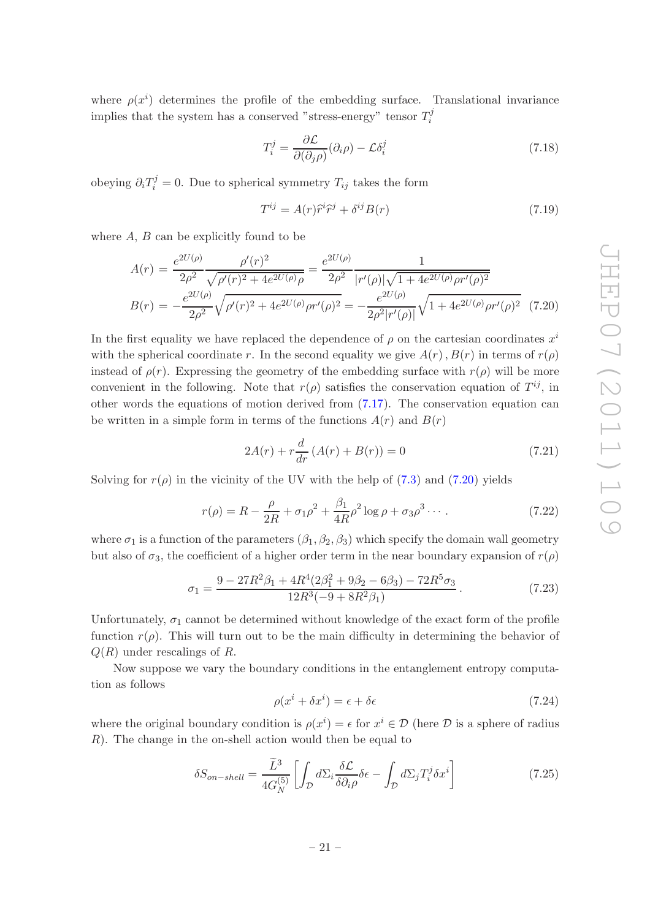where  $\rho(x^i)$  determines the profile of the embedding surface. Translational invariance implies that the system has a conserved "stress-energy" tensor  $T_i^j$ i

$$
T_i^j = \frac{\partial \mathcal{L}}{\partial(\partial_j \rho)}(\partial_i \rho) - \mathcal{L}\delta_i^j \tag{7.18}
$$

obeying  $\partial_i T_i^j = 0$ . Due to spherical symmetry  $T_{ij}$  takes the form

<span id="page-22-1"></span>
$$
T^{ij} = A(r)\hat{r}^i\hat{r}^j + \delta^{ij}B(r)
$$
\n(7.19)

where  $A, B$  can be explicitly found to be

<span id="page-22-0"></span>
$$
A(r) = \frac{e^{2U(\rho)}}{2\rho^2} \frac{\rho'(r)^2}{\sqrt{\rho'(r)^2 + 4e^{2U(\rho)}}\rho} = \frac{e^{2U(\rho)}}{2\rho^2} \frac{1}{|r'(\rho)|\sqrt{1 + 4e^{2U(\rho)}\rho r'(\rho)^2}}
$$

$$
B(r) = -\frac{e^{2U(\rho)}}{2\rho^2} \sqrt{\rho'(r)^2 + 4e^{2U(\rho)}\rho r'(\rho)^2} = -\frac{e^{2U(\rho)}}{2\rho^2|r'(\rho)|} \sqrt{1 + 4e^{2U(\rho)}\rho r'(\rho)^2} \quad (7.20)
$$

In the first equality we have replaced the dependence of  $\rho$  on the cartesian coordinates  $x^i$ with the spherical coordinate r. In the second equality we give  $A(r)$ ,  $B(r)$  in terms of  $r(\rho)$ instead of  $\rho(r)$ . Expressing the geometry of the embedding surface with  $r(\rho)$  will be more convenient in the following. Note that  $r(\rho)$  satisfies the conservation equation of  $T^{ij}$ , in other words the equations of motion derived from [\(7.17\)](#page-21-2). The conservation equation can be written in a simple form in terms of the functions  $A(r)$  and  $B(r)$ 

$$
2A(r) + r\frac{d}{dr}(A(r) + B(r)) = 0
$$
\n(7.21)

Solving for  $r(\rho)$  in the vicinity of the UV with the help of [\(7.3\)](#page-18-5) and [\(7.20\)](#page-22-0) yields

$$
r(\rho) = R - \frac{\rho}{2R} + \sigma_1 \rho^2 + \frac{\beta_1}{4R} \rho^2 \log \rho + \sigma_3 \rho^3 \cdots
$$
 (7.22)

where  $\sigma_1$  is a function of the parameters  $(\beta_1, \beta_2, \beta_3)$  which specify the domain wall geometry but also of  $\sigma_3$ , the coefficient of a higher order term in the near boundary expansion of  $r(\rho)$ 

$$
\sigma_1 = \frac{9 - 27R^2\beta_1 + 4R^4(2\beta_1^2 + 9\beta_2 - 6\beta_3) - 72R^5\sigma_3}{12R^3(-9 + 8R^2\beta_1)}.
$$
\n(7.23)

Unfortunately,  $\sigma_1$  cannot be determined without knowledge of the exact form of the profile function  $r(\rho)$ . This will turn out to be the main difficulty in determining the behavior of  $Q(R)$  under rescalings of R.

Now suppose we vary the boundary conditions in the entanglement entropy computation as follows

$$
\rho(x^i + \delta x^i) = \epsilon + \delta \epsilon \tag{7.24}
$$

where the original boundary condition is  $\rho(x^i) = \epsilon$  for  $x^i \in \mathcal{D}$  (here  $\mathcal D$  is a sphere of radius R). The change in the on-shell action would then be equal to

<span id="page-22-2"></span>
$$
\delta S_{on-shell} = \frac{\tilde{L}^3}{4G_N^{(5)}} \left[ \int_{\mathcal{D}} d\Sigma_i \frac{\delta \mathcal{L}}{\delta \partial_i \rho} \delta \epsilon - \int_{\mathcal{D}} d\Sigma_j T_i^j \delta x^i \right] \tag{7.25}
$$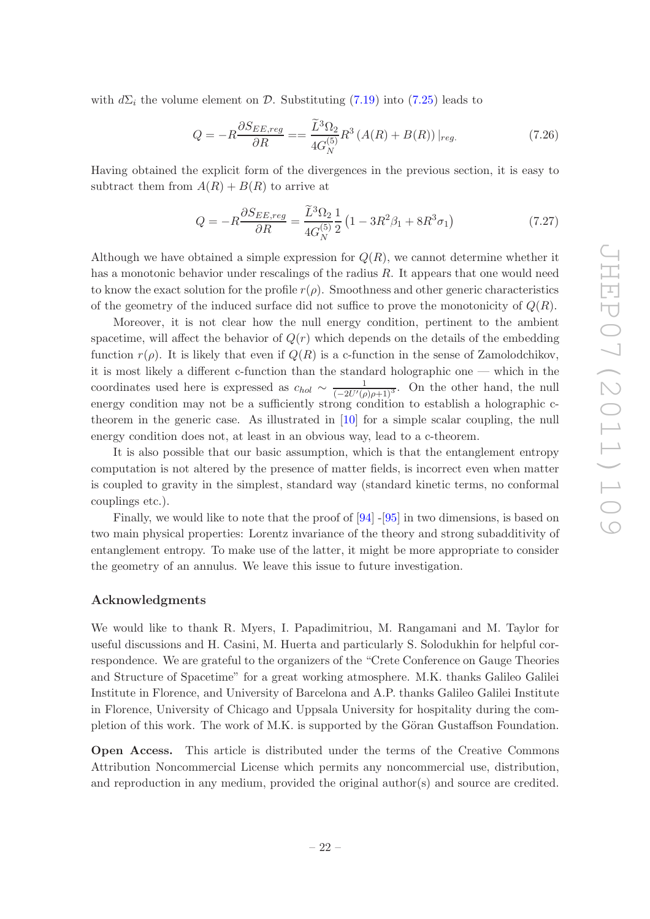with  $d\Sigma_i$  the volume element on D. Substituting [\(7.19\)](#page-22-1) into [\(7.25\)](#page-22-2) leads to

$$
Q = -R \frac{\partial S_{EE,reg}}{\partial R} = \frac{\widetilde{L}^3 \Omega_2}{4G_N^{(5)}} R^3 \left( A(R) + B(R) \right)|_{reg.}
$$
\n(7.26)

Having obtained the explicit form of the divergences in the previous section, it is easy to subtract them from  $A(R) + B(R)$  to arrive at

$$
Q = -R \frac{\partial S_{EE,reg}}{\partial R} = \frac{\tilde{L}^3 \Omega_2}{4G_N^{(5)}} \frac{1}{2} \left( 1 - 3R^2 \beta_1 + 8R^3 \sigma_1 \right) \tag{7.27}
$$

Although we have obtained a simple expression for  $Q(R)$ , we cannot determine whether it has a monotonic behavior under rescalings of the radius R. It appears that one would need to know the exact solution for the profile  $r(\rho)$ . Smoothness and other generic characteristics of the geometry of the induced surface did not suffice to prove the monotonicity of  $Q(R)$ .

Moreover, it is not clear how the null energy condition, pertinent to the ambient spacetime, will affect the behavior of  $Q(r)$  which depends on the details of the embedding function  $r(\rho)$ . It is likely that even if  $Q(R)$  is a c-function in the sense of Zamolodchikov, it is most likely a different c-function than the standard holographic one — which in the coordinates used here is expressed as  $c_{hol} \sim \frac{1}{(-2U'(\rho)\rho+1)^3}$ . On the other hand, the null energy condition may not be a sufficiently strong condition to establish a holographic ctheorem in the generic case. As illustrated in [\[10](#page-24-8)] for a simple scalar coupling, the null energy condition does not, at least in an obvious way, lead to a c-theorem.

It is also possible that our basic assumption, which is that the entanglement entropy computation is not altered by the presence of matter fields, is incorrect even when matter is coupled to gravity in the simplest, standard way (standard kinetic terms, no conformal couplings etc.).

Finally, we would like to note that the proof of  $[94]$  - $[95]$  $[95]$  in two dimensions, is based on two main physical properties: Lorentz invariance of the theory and strong subadditivity of entanglement entropy. To make use of the latter, it might be more appropriate to consider the geometry of an annulus. We leave this issue to future investigation.

#### Acknowledgments

We would like to thank R. Myers, I. Papadimitriou, M. Rangamani and M. Taylor for useful discussions and H. Casini, M. Huerta and particularly S. Solodukhin for helpful correspondence. We are grateful to the organizers of the "Crete Conference on Gauge Theories and Structure of Spacetime" for a great working atmosphere. M.K. thanks Galileo Galilei Institute in Florence, and University of Barcelona and A.P. thanks Galileo Galilei Institute in Florence, University of Chicago and Uppsala University for hospitality during the completion of this work. The work of M.K. is supported by the Göran Gustaffson Foundation.

Open Access. This article is distributed under the terms of the Creative Commons Attribution Noncommercial License which permits any noncommercial use, distribution, and reproduction in any medium, provided the original author(s) and source are credited.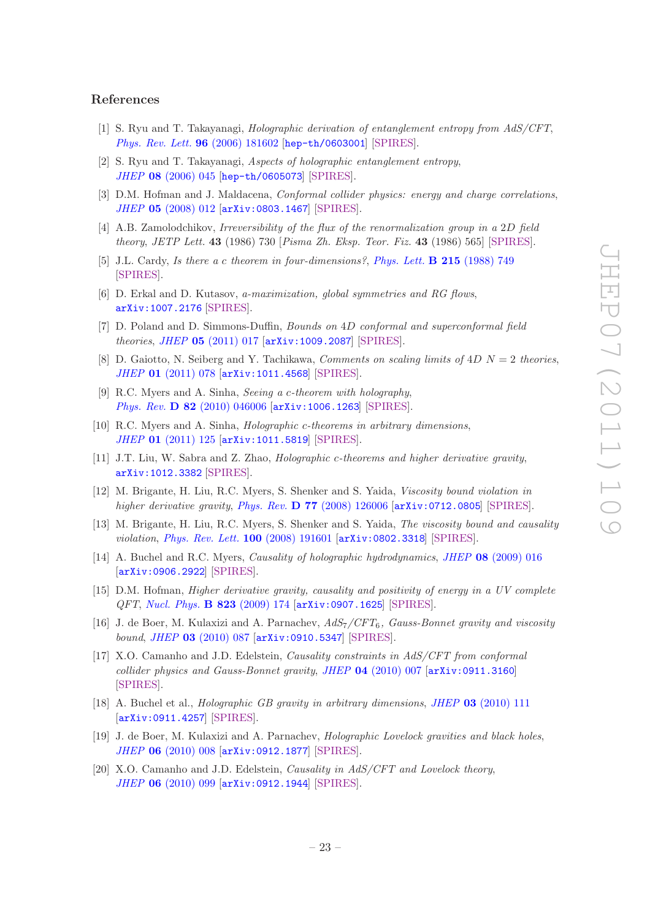#### References

- <span id="page-24-0"></span>[1] S. Ryu and T. Takayanagi, *Holographic derivation of entanglement entropy from AdS/CFT*, *[Phys. Rev. Lett.](http://dx.doi.org/10.1103/PhysRevLett.96.181602)* 96 (2006) 181602 [[hep-th/0603001](http://arxiv.org/abs/hep-th/0603001)] [\[SPIRES\]](http://www-spires.slac.stanford.edu/spires/find/hep/www?eprint=HEP-TH/0603001).
- <span id="page-24-1"></span>[2] S. Ryu and T. Takayanagi, *Aspects of holographic entanglement entropy*, *JHEP* 08 [\(2006\) 045](http://dx.doi.org/10.1088/1126-6708/2006/08/045) [[hep-th/0605073](http://arxiv.org/abs/hep-th/0605073)] [\[SPIRES\]](http://www-spires.slac.stanford.edu/spires/find/hep/www?eprint=HEP-TH/0605073).
- <span id="page-24-2"></span>[3] D.M. Hofman and J. Maldacena, *Conformal collider physics: energy and charge correlations*, *JHEP* 05 [\(2008\) 012](http://dx.doi.org/10.1088/1126-6708/2008/05/012) [[arXiv:0803.1467](http://arxiv.org/abs/0803.1467)] [\[SPIRES\]](http://www-spires.slac.stanford.edu/spires/find/hep/www?eprint=0803.1467).
- <span id="page-24-3"></span>[4] A.B. Zamolodchikov, *Irreversibility of the flux of the renormalization group in a* 2D *field theory*, *JETP Lett.* 43 (1986) 730 [*Pisma Zh. Eksp. Teor. Fiz.* 43 (1986) 565] [\[SPIRES\]](http://www-spires.slac.stanford.edu/spires/find/hep/www?j=JTPLA,43,730).
- <span id="page-24-4"></span>[5] J.L. Cardy, *Is there a* c *theorem in four-dimensions?*, *[Phys. Lett.](http://dx.doi.org/10.1016/0370-2693(88)90054-8)* B 215 (1988) 749 [\[SPIRES\]](http://www-spires.slac.stanford.edu/spires/find/hep/www?j=PHLTA,B215,749).
- <span id="page-24-5"></span>[6] D. Erkal and D. Kutasov, *a-maximization, global symmetries and RG flows*, [arXiv:1007.2176](http://arxiv.org/abs/1007.2176) [\[SPIRES\]](http://www-spires.slac.stanford.edu/spires/find/hep/www?eprint=1007.2176).
- [7] D. Poland and D. Simmons-Duffin, *Bounds on* 4D *conformal and superconformal field theories*, *JHEP* 05 [\(2011\) 017](http://dx.doi.org/10.1007/JHEP05(2011)017) [[arXiv:1009.2087](http://arxiv.org/abs/1009.2087)] [\[SPIRES\]](http://www-spires.slac.stanford.edu/spires/find/hep/www?eprint=1009.2087).
- <span id="page-24-6"></span>[8] D. Gaiotto, N. Seiberg and Y. Tachikawa, *Comments on scaling limits of* 4D N = 2 *theories*, *JHEP* 01 [\(2011\) 078](http://dx.doi.org/10.1007/JHEP01(2011)078) [[arXiv:1011.4568](http://arxiv.org/abs/1011.4568)] [\[SPIRES\]](http://www-spires.slac.stanford.edu/spires/find/hep/www?eprint=1011.4568).
- <span id="page-24-7"></span>[9] R.C. Myers and A. Sinha, *Seeing a* c*-theorem with holography*, *Phys. Rev.* D 82 [\(2010\) 046006](http://dx.doi.org/10.1103/PhysRevD.82.046006) [[arXiv:1006.1263](http://arxiv.org/abs/1006.1263)] [\[SPIRES\]](http://www-spires.slac.stanford.edu/spires/find/hep/www?eprint=1006.1263).
- <span id="page-24-8"></span>[10] R.C. Myers and A. Sinha, *Holographic* c*-theorems in arbitrary dimensions*, *JHEP* 01 [\(2011\) 125](http://dx.doi.org/10.1007/JHEP01(2011)125) [[arXiv:1011.5819](http://arxiv.org/abs/1011.5819)] [\[SPIRES\]](http://www-spires.slac.stanford.edu/spires/find/hep/www?eprint=1011.5819).
- <span id="page-24-9"></span>[11] J.T. Liu, W. Sabra and Z. Zhao, *Holographic* c*-theorems and higher derivative gravity*, [arXiv:1012.3382](http://arxiv.org/abs/1012.3382) [\[SPIRES\]](http://www-spires.slac.stanford.edu/spires/find/hep/www?eprint=1012.3382).
- <span id="page-24-10"></span>[12] M. Brigante, H. Liu, R.C. Myers, S. Shenker and S. Yaida, *Viscosity bound violation in higher derivative gravity*, *Phys. Rev.* D 77 [\(2008\) 126006](http://dx.doi.org/10.1103/PhysRevD.77.126006) [[arXiv:0712.0805](http://arxiv.org/abs/0712.0805)] [\[SPIRES\]](http://www-spires.slac.stanford.edu/spires/find/hep/www?eprint=0712.0805).
- [13] M. Brigante, H. Liu, R.C. Myers, S. Shenker and S. Yaida, *The viscosity bound and causality violation*, *[Phys. Rev. Lett.](http://dx.doi.org/10.1103/PhysRevLett.100.191601)* 100 (2008) 191601 [[arXiv:0802.3318](http://arxiv.org/abs/0802.3318)] [\[SPIRES\]](http://www-spires.slac.stanford.edu/spires/find/hep/www?eprint=0802.3318).
- [14] A. Buchel and R.C. Myers, *Causality of holographic hydrodynamics*, *JHEP* 08 [\(2009\) 016](http://dx.doi.org/10.1088/1126-6708/2009/08/016) [[arXiv:0906.2922](http://arxiv.org/abs/0906.2922)] [\[SPIRES\]](http://www-spires.slac.stanford.edu/spires/find/hep/www?eprint=0906.2922).
- <span id="page-24-12"></span>[15] D.M. Hofman, *Higher derivative gravity, causality and positivity of energy in a UV complete QFT*, *[Nucl. Phys.](http://dx.doi.org/10.1016/j.nuclphysb.2009.08.001)* B 823 (2009) 174 [[arXiv:0907.1625](http://arxiv.org/abs/0907.1625)] [\[SPIRES\]](http://www-spires.slac.stanford.edu/spires/find/hep/www?eprint=0907.1625).
- <span id="page-24-13"></span>[16] J. de Boer, M. Kulaxizi and A. Parnachev, *AdS*7*/CFT*6*, Gauss-Bonnet gravity and viscosity bound*, *JHEP* 03 [\(2010\) 087](http://dx.doi.org/10.1007/JHEP03(2010)087) [[arXiv:0910.5347](http://arxiv.org/abs/0910.5347)] [\[SPIRES\]](http://www-spires.slac.stanford.edu/spires/find/hep/www?eprint=0910.5347).
- [17] X.O. Camanho and J.D. Edelstein, *Causality constraints in AdS/CFT from conformal collider physics and Gauss-Bonnet gravity*, *JHEP* 04 [\(2010\) 007](http://dx.doi.org/10.1007/JHEP04(2010)007) [[arXiv:0911.3160](http://arxiv.org/abs/0911.3160)] [\[SPIRES\]](http://www-spires.slac.stanford.edu/spires/find/hep/www?eprint=0911.3160).
- [18] A. Buchel et al., *Holographic GB gravity in arbitrary dimensions*, *JHEP* 03 [\(2010\) 111](http://dx.doi.org/10.1007/JHEP03(2010)111) [[arXiv:0911.4257](http://arxiv.org/abs/0911.4257)] [\[SPIRES\]](http://www-spires.slac.stanford.edu/spires/find/hep/www?eprint=0911.4257).
- <span id="page-24-11"></span>[19] J. de Boer, M. Kulaxizi and A. Parnachev, *Holographic Lovelock gravities and black holes*, *JHEP* 06 [\(2010\) 008](http://dx.doi.org/10.1007/JHEP06(2010)008) [[arXiv:0912.1877](http://arxiv.org/abs/0912.1877)] [\[SPIRES\]](http://www-spires.slac.stanford.edu/spires/find/hep/www?eprint=0912.1877).
- [20] X.O. Camanho and J.D. Edelstein, *Causality in AdS/CFT and Lovelock theory*, *JHEP* 06 [\(2010\) 099](http://dx.doi.org/10.1007/JHEP06(2010)099) [[arXiv:0912.1944](http://arxiv.org/abs/0912.1944)] [\[SPIRES\]](http://www-spires.slac.stanford.edu/spires/find/hep/www?eprint=0912.1944).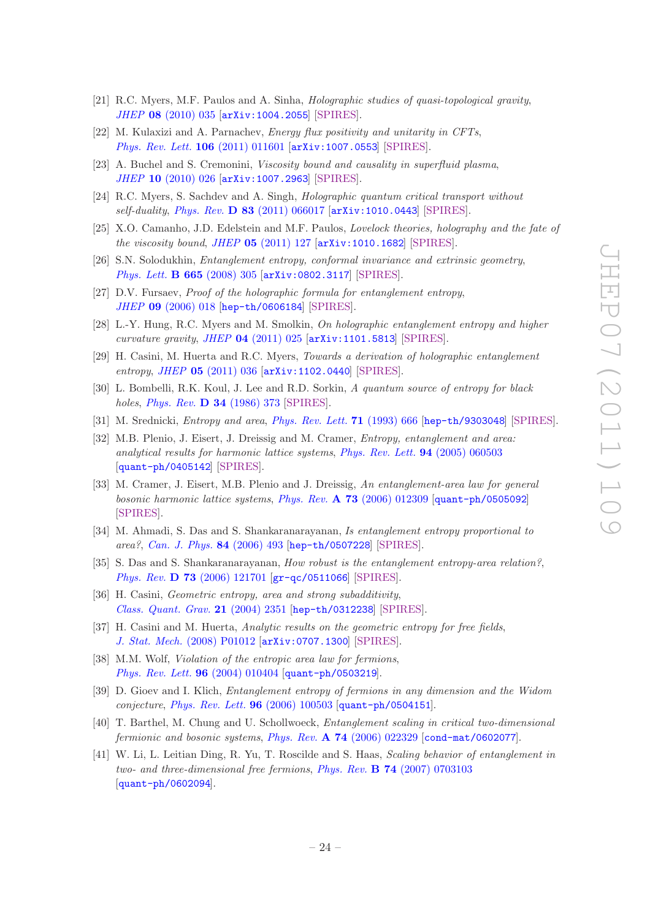- <span id="page-25-11"></span>[21] R.C. Myers, M.F. Paulos and A. Sinha, *Holographic studies of quasi-topological gravity*, *JHEP* 08 [\(2010\) 035](http://dx.doi.org/10.1007/JHEP08(2010)035) [[arXiv:1004.2055](http://arxiv.org/abs/1004.2055)] [\[SPIRES\]](http://www-spires.slac.stanford.edu/spires/find/hep/www?eprint=1004.2055).
- [22] M. Kulaxizi and A. Parnachev, *Energy flux positivity and unitarity in CFTs*, *[Phys. Rev. Lett.](http://dx.doi.org/10.1103/PhysRevLett.106.011601)* 106 (2011) 011601 [[arXiv:1007.0553](http://arxiv.org/abs/1007.0553)] [\[SPIRES\]](http://www-spires.slac.stanford.edu/spires/find/hep/www?eprint=1007.0553).
- [23] A. Buchel and S. Cremonini, *Viscosity bound and causality in superfluid plasma*, *JHEP* 10 [\(2010\) 026](http://dx.doi.org/10.1007/JHEP10(2010)026) [[arXiv:1007.2963](http://arxiv.org/abs/1007.2963)] [\[SPIRES\]](http://www-spires.slac.stanford.edu/spires/find/hep/www?eprint=1007.2963).
- [24] R.C. Myers, S. Sachdev and A. Singh, *Holographic quantum critical transport without self-duality*, *Phys. Rev.* D 83 [\(2011\) 066017](http://dx.doi.org/10.1103/PhysRevD.83.066017) [[arXiv:1010.0443](http://arxiv.org/abs/1010.0443)] [\[SPIRES\]](http://www-spires.slac.stanford.edu/spires/find/hep/www?eprint=1010.0443).
- <span id="page-25-0"></span>[25] X.O. Camanho, J.D. Edelstein and M.F. Paulos, *Lovelock theories, holography and the fate of the viscosity bound*, *JHEP* 05 [\(2011\) 127](http://dx.doi.org/10.1007/JHEP05(2011)127) [[arXiv:1010.1682](http://arxiv.org/abs/1010.1682)] [\[SPIRES\]](http://www-spires.slac.stanford.edu/spires/find/hep/www?eprint=1010.1682).
- <span id="page-25-1"></span>[26] S.N. Solodukhin, *Entanglement entropy, conformal invariance and extrinsic geometry*, *[Phys. Lett.](http://dx.doi.org/10.1016/j.physletb.2008.05.071)* B 665 (2008) 305 [[arXiv:0802.3117](http://arxiv.org/abs/0802.3117)] [\[SPIRES\]](http://www-spires.slac.stanford.edu/spires/find/hep/www?eprint=0802.3117).
- <span id="page-25-2"></span>[27] D.V. Fursaev, *Proof of the holographic formula for entanglement entropy*, *JHEP* 09 [\(2006\) 018](http://dx.doi.org/10.1088/1126-6708/2006/09/018) [[hep-th/0606184](http://arxiv.org/abs/hep-th/0606184)] [\[SPIRES\]](http://www-spires.slac.stanford.edu/spires/find/hep/www?eprint=HEP-TH/0606184).
- <span id="page-25-3"></span>[28] L.-Y. Hung, R.C. Myers and M. Smolkin, *On holographic entanglement entropy and higher curvature gravity*, *JHEP* 04 [\(2011\) 025](http://dx.doi.org/10.1007/JHEP04(2011)025) [[arXiv:1101.5813](http://arxiv.org/abs/1101.5813)] [\[SPIRES\]](http://www-spires.slac.stanford.edu/spires/find/hep/www?eprint=1101.5813).
- <span id="page-25-4"></span>[29] H. Casini, M. Huerta and R.C. Myers, *Towards a derivation of holographic entanglement entropy*, *JHEP* 05 [\(2011\) 036](http://dx.doi.org/10.1007/JHEP05(2011)036) [[arXiv:1102.0440](http://arxiv.org/abs/1102.0440)] [\[SPIRES\]](http://www-spires.slac.stanford.edu/spires/find/hep/www?eprint=1102.0440).
- <span id="page-25-5"></span>[30] L. Bombelli, R.K. Koul, J. Lee and R.D. Sorkin, *A quantum source of entropy for black holes*, *[Phys. Rev.](http://dx.doi.org/10.1103/PhysRevD.34.373)* D 34 (1986) 373 [\[SPIRES\]](http://www-spires.slac.stanford.edu/spires/find/hep/www?j=PHRVA,D34,373).
- <span id="page-25-6"></span>[31] M. Srednicki, *Entropy and area*, *[Phys. Rev. Lett.](http://dx.doi.org/10.1103/PhysRevLett.71.666)* 71 (1993) 666 [[hep-th/9303048](http://arxiv.org/abs/hep-th/9303048)] [\[SPIRES\]](http://www-spires.slac.stanford.edu/spires/find/hep/www?eprint=HEP-TH/9303048).
- <span id="page-25-7"></span>[32] M.B. Plenio, J. Eisert, J. Dreissig and M. Cramer, *Entropy, entanglement and area: analytical results for harmonic lattice systems*, *[Phys. Rev. Lett.](http://dx.doi.org/10.1103/PhysRevLett.94.060503)* 94 (2005) 060503 [[quant-ph/0405142](http://arxiv.org/abs/quant-ph/0405142)] [\[SPIRES\]](http://www-spires.slac.stanford.edu/spires/find/hep/www?eprint=QUANT-PH/0405142).
- [33] M. Cramer, J. Eisert, M.B. Plenio and J. Dreissig, *An entanglement-area law for general bosonic harmonic lattice systems*, *Phys. Rev.* A 73 [\(2006\) 012309](http://dx.doi.org/10.1103/PhysRevA.73.012309) [[quant-ph/0505092](http://arxiv.org/abs/quant-ph/0505092)] [\[SPIRES\]](http://www-spires.slac.stanford.edu/spires/find/hep/www?eprint=QUANT-PH/0505092).
- [34] M. Ahmadi, S. Das and S. Shankaranarayanan, *Is entanglement entropy proportional to area?*, *[Can. J. Phys.](http://dx.doi.org/10.1139/P06-002)* 84 (2006) 493 [[hep-th/0507228](http://arxiv.org/abs/hep-th/0507228)] [\[SPIRES\]](http://www-spires.slac.stanford.edu/spires/find/hep/www?eprint=HEP-TH/0507228).
- [35] S. Das and S. Shankaranarayanan, *How robust is the entanglement entropy-area relation?*, *Phys. Rev.* D 73 [\(2006\) 121701](http://dx.doi.org/10.1103/PhysRevD.73.121701) [[gr-qc/0511066](http://arxiv.org/abs/gr-qc/0511066)] [\[SPIRES\]](http://www-spires.slac.stanford.edu/spires/find/hep/www?eprint=GR-QC/0511066).
- [36] H. Casini, *Geometric entropy, area and strong subadditivity*, *[Class. Quant. Grav.](http://dx.doi.org/10.1088/0264-9381/21/9/011)* 21 (2004) 2351 [[hep-th/0312238](http://arxiv.org/abs/hep-th/0312238)] [\[SPIRES\]](http://www-spires.slac.stanford.edu/spires/find/hep/www?eprint=HEP-TH/0312238).
- <span id="page-25-8"></span>[37] H. Casini and M. Huerta, *Analytic results on the geometric entropy for free fields*, *J. Stat. Mech.* [\(2008\) P01012](http://dx.doi.org/10.1088/1742-5468/2008/01/P01012) [[arXiv:0707.1300](http://arxiv.org/abs/0707.1300)] [\[SPIRES\]](http://www-spires.slac.stanford.edu/spires/find/hep/www?eprint=0707.1300).
- <span id="page-25-9"></span>[38] M.M. Wolf, *Violation of the entropic area law for fermions*, *[Phys. Rev. Lett.](http://dx.doi.org/10.1103/PhysRevLett.96.010404)* 96 (2004) 010404 [[quant-ph/0503219](http://arxiv.org/abs/quant-ph/0503219)].
- [39] D. Gioev and I. Klich, *Entanglement entropy of fermions in any dimension and the Widom conjecture*, *[Phys. Rev. Lett.](http://dx.doi.org/10.1103/PhysRevLett.96.100503)* 96 (2006) 100503 [[quant-ph/0504151](http://arxiv.org/abs/quant-ph/0504151)].
- [40] T. Barthel, M. Chung and U. Schollwoeck, *Entanglement scaling in critical two-dimensional fermionic and bosonic systems*, *Phys. Rev.* A 74 [\(2006\) 022329](http://dx.doi.org/10.1103/PhysRevA.74.022329) [[cond-mat/0602077](http://arxiv.org/abs/cond-mat/0602077)].
- <span id="page-25-10"></span>[41] W. Li, L. Leitian Ding, R. Yu, T. Roscilde and S. Haas, *Scaling behavior of entanglement in two- and three-dimensional free fermions*, *Phys. Rev.* B 74 [\(2007\) 0703103](http://dx.doi.org/10.1103/PhysRevB.74.073103) [[quant-ph/0602094](http://arxiv.org/abs/quant-ph/0602094)].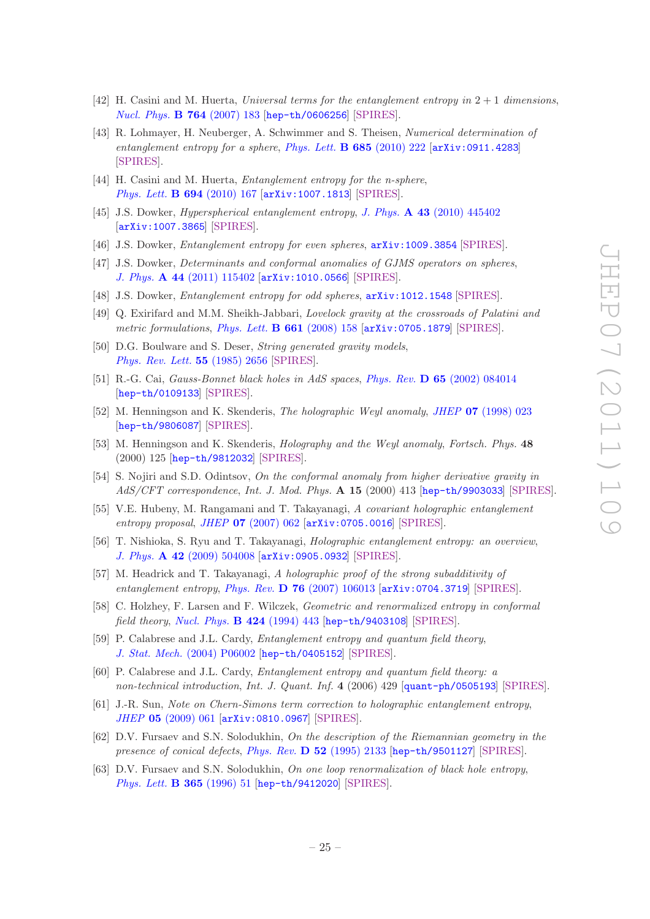- <span id="page-26-0"></span>[42] H. Casini and M. Huerta, *Universal terms for the entanglement entropy in* 2 + 1 *dimensions*, *[Nucl. Phys.](http://dx.doi.org/10.1016/j.nuclphysb.2006.12.012)* B 764 (2007) 183 [[hep-th/0606256](http://arxiv.org/abs/hep-th/0606256)] [\[SPIRES\]](http://www-spires.slac.stanford.edu/spires/find/hep/www?eprint=HEP-TH/0606256).
- <span id="page-26-1"></span>[43] R. Lohmayer, H. Neuberger, A. Schwimmer and S. Theisen, *Numerical determination of entanglement entropy for a sphere*, *[Phys. Lett.](http://dx.doi.org/10.1016/j.physletb.2010.01.053)* B 685 (2010) 222 [[arXiv:0911.4283](http://arxiv.org/abs/0911.4283)] [\[SPIRES\]](http://www-spires.slac.stanford.edu/spires/find/hep/www?eprint=0911.4283).
- <span id="page-26-2"></span>[44] H. Casini and M. Huerta, *Entanglement entropy for the n-sphere*, *[Phys. Lett.](http://dx.doi.org/10.1016/j.physletb.2010.09.054)* B 694 (2010) 167 [[arXiv:1007.1813](http://arxiv.org/abs/1007.1813)] [\[SPIRES\]](http://www-spires.slac.stanford.edu/spires/find/hep/www?eprint=1007.1813).
- <span id="page-26-3"></span>[45] J.S. Dowker, *Hyperspherical entanglement entropy*, *J. Phys.* A 43 [\(2010\) 445402](http://dx.doi.org/10.1088/1751-8113/43/44/445402) [[arXiv:1007.3865](http://arxiv.org/abs/1007.3865)] [\[SPIRES\]](http://www-spires.slac.stanford.edu/spires/find/hep/www?eprint=1007.3865).
- [46] J.S. Dowker, *Entanglement entropy for even spheres*, [arXiv:1009.3854](http://arxiv.org/abs/1009.3854) [\[SPIRES\]](http://www-spires.slac.stanford.edu/spires/find/hep/www?eprint=1009.3854).
- [47] J.S. Dowker, *Determinants and conformal anomalies of GJMS operators on spheres*, *J. Phys.* A 44 [\(2011\) 115402](http://dx.doi.org/10.1088/1751-8113/44/11/115402) [[arXiv:1010.0566](http://arxiv.org/abs/1010.0566)] [\[SPIRES\]](http://www-spires.slac.stanford.edu/spires/find/hep/www?eprint=1010.0566).
- <span id="page-26-4"></span>[48] J.S. Dowker, *Entanglement entropy for odd spheres*, [arXiv:1012.1548](http://arxiv.org/abs/1012.1548) [\[SPIRES\]](http://www-spires.slac.stanford.edu/spires/find/hep/www?eprint=1012.1548).
- <span id="page-26-5"></span>[49] Q. Exirifard and M.M. Sheikh-Jabbari, *Lovelock gravity at the crossroads of Palatini and metric formulations*, *[Phys. Lett.](http://dx.doi.org/10.1016/j.physletb.2008.02.012)* B 661 (2008) 158 [[arXiv:0705.1879](http://arxiv.org/abs/0705.1879)] [\[SPIRES\]](http://www-spires.slac.stanford.edu/spires/find/hep/www?eprint=0705.1879).
- <span id="page-26-6"></span>[50] D.G. Boulware and S. Deser, *String generated gravity models*, *[Phys. Rev. Lett.](http://dx.doi.org/10.1103/PhysRevLett.55.2656)* 55 (1985) 2656 [\[SPIRES\]](http://www-spires.slac.stanford.edu/spires/find/hep/www?j=PRLTA,55,2656).
- <span id="page-26-7"></span>[51] R.-G. Cai, *Gauss-Bonnet black holes in AdS spaces*, *Phys. Rev.* D 65 [\(2002\) 084014](http://dx.doi.org/10.1103/PhysRevD.65.084014) [[hep-th/0109133](http://arxiv.org/abs/hep-th/0109133)] [\[SPIRES\]](http://www-spires.slac.stanford.edu/spires/find/hep/www?eprint=HEP-TH/0109133).
- <span id="page-26-8"></span>[52] M. Henningson and K. Skenderis, *The holographic Weyl anomaly*, *JHEP* 07 [\(1998\) 023](http://dx.doi.org/10.1088/1126-6708/1998/07/023) [[hep-th/9806087](http://arxiv.org/abs/hep-th/9806087)] [\[SPIRES\]](http://www-spires.slac.stanford.edu/spires/find/hep/www?eprint=HEP-TH/9806087).
- <span id="page-26-9"></span>[53] M. Henningson and K. Skenderis, *Holography and the Weyl anomaly*, *Fortsch. Phys.* 48 (2000) 125 [[hep-th/9812032](http://arxiv.org/abs/hep-th/9812032)] [\[SPIRES\]](http://www-spires.slac.stanford.edu/spires/find/hep/www?eprint=HEP-TH/9812032).
- <span id="page-26-10"></span>[54] S. Nojiri and S.D. Odintsov, *On the conformal anomaly from higher derivative gravity in AdS/CFT correspondence*, *Int. J. Mod. Phys.* A 15 (2000) 413 [[hep-th/9903033](http://arxiv.org/abs/hep-th/9903033)] [\[SPIRES\]](http://www-spires.slac.stanford.edu/spires/find/hep/www?eprint=HEP-TH/9903033).
- <span id="page-26-15"></span>[55] V.E. Hubeny, M. Rangamani and T. Takayanagi, *A covariant holographic entanglement entropy proposal*, *JHEP* 07 [\(2007\) 062](http://dx.doi.org/10.1088/1126-6708/2007/07/062) [[arXiv:0705.0016](http://arxiv.org/abs/0705.0016)] [\[SPIRES\]](http://www-spires.slac.stanford.edu/spires/find/hep/www?eprint=0705.0016).
- <span id="page-26-11"></span>[56] T. Nishioka, S. Ryu and T. Takayanagi, *Holographic entanglement entropy: an overview*, *J. Phys.* A 42 [\(2009\) 504008](http://dx.doi.org/10.1088/1751-8113/42/50/504008) [[arXiv:0905.0932](http://arxiv.org/abs/0905.0932)] [\[SPIRES\]](http://www-spires.slac.stanford.edu/spires/find/hep/www?eprint=0905.0932).
- <span id="page-26-12"></span>[57] M. Headrick and T. Takayanagi, *A holographic proof of the strong subadditivity of entanglement entropy*, *Phys. Rev.* D 76 [\(2007\) 106013](http://dx.doi.org/10.1103/PhysRevD.76.106013) [[arXiv:0704.3719](http://arxiv.org/abs/0704.3719)] [\[SPIRES\]](http://www-spires.slac.stanford.edu/spires/find/hep/www?eprint=0704.3719).
- <span id="page-26-13"></span>[58] C. Holzhey, F. Larsen and F. Wilczek, *Geometric and renormalized entropy in conformal field theory*, *[Nucl. Phys.](http://dx.doi.org/10.1016/0550-3213(94)90402-2)* B 424 (1994) 443 [[hep-th/9403108](http://arxiv.org/abs/hep-th/9403108)] [\[SPIRES\]](http://www-spires.slac.stanford.edu/spires/find/hep/www?eprint=HEP-TH/9403108).
- [59] P. Calabrese and J.L. Cardy, *Entanglement entropy and quantum field theory*, *J. Stat. Mech.* [\(2004\) P06002](http://dx.doi.org/10.1088/1742-5468/2004/06/P06002) [[hep-th/0405152](http://arxiv.org/abs/hep-th/0405152)] [\[SPIRES\]](http://www-spires.slac.stanford.edu/spires/find/hep/www?eprint=HEP-TH/0405152).
- <span id="page-26-14"></span>[60] P. Calabrese and J.L. Cardy, *Entanglement entropy and quantum field theory: a non-technical introduction*, *Int. J. Quant. Inf.* 4 (2006) 429 [[quant-ph/0505193](http://arxiv.org/abs/quant-ph/0505193)] [\[SPIRES\]](http://www-spires.slac.stanford.edu/spires/find/hep/www?eprint=QUANT-PH/0505193).
- <span id="page-26-16"></span>[61] J.-R. Sun, *Note on Chern-Simons term correction to holographic entanglement entropy*, *JHEP* 05 [\(2009\) 061](http://dx.doi.org/10.1088/1126-6708/2009/05/061) [[arXiv:0810.0967](http://arxiv.org/abs/0810.0967)] [\[SPIRES\]](http://www-spires.slac.stanford.edu/spires/find/hep/www?eprint=0810.0967).
- <span id="page-26-17"></span>[62] D.V. Fursaev and S.N. Solodukhin, *On the description of the Riemannian geometry in the presence of conical defects*, *Phys. Rev.* D 52 [\(1995\) 2133](http://dx.doi.org/10.1103/PhysRevD.52.2133) [[hep-th/9501127](http://arxiv.org/abs/hep-th/9501127)] [\[SPIRES\]](http://www-spires.slac.stanford.edu/spires/find/hep/www?eprint=HEP-TH/9501127).
- <span id="page-26-18"></span>[63] D.V. Fursaev and S.N. Solodukhin, *On one loop renormalization of black hole entropy*, *[Phys. Lett.](http://dx.doi.org/10.1016/0370-2693(95)01290-7)* B 365 (1996) 51 [[hep-th/9412020](http://arxiv.org/abs/hep-th/9412020)] [\[SPIRES\]](http://www-spires.slac.stanford.edu/spires/find/hep/www?eprint=HEP-TH/9412020).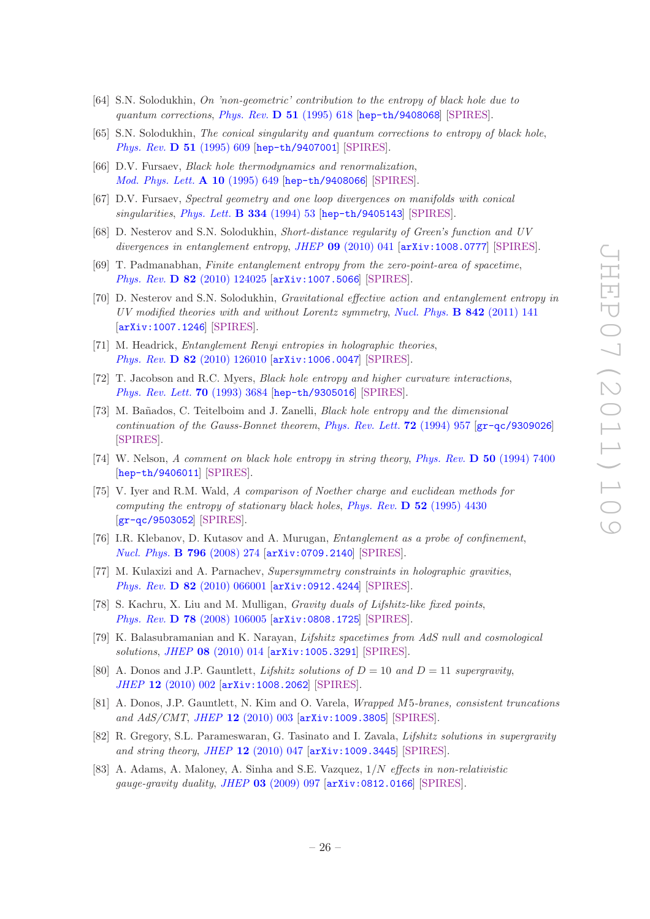- [64] S.N. Solodukhin, *On 'non-geometric' contribution to the entropy of black hole due to quantum corrections*, *[Phys. Rev.](http://dx.doi.org/10.1103/PhysRevD.51.618)* D 51 (1995) 618 [[hep-th/9408068](http://arxiv.org/abs/hep-th/9408068)] [\[SPIRES\]](http://www-spires.slac.stanford.edu/spires/find/hep/www?eprint=HEP-TH/9408068).
- [65] S.N. Solodukhin, *The conical singularity and quantum corrections to entropy of black hole*, *[Phys. Rev.](http://dx.doi.org/10.1103/PhysRevD.51.609)* D 51 (1995) 609 [[hep-th/9407001](http://arxiv.org/abs/hep-th/9407001)] [\[SPIRES\]](http://www-spires.slac.stanford.edu/spires/find/hep/www?eprint=HEP-TH/9407001).
- [66] D.V. Fursaev, *Black hole thermodynamics and renormalization*, *[Mod. Phys. Lett.](http://dx.doi.org/10.1142/S0217732395000697)* A 10 (1995) 649 [[hep-th/9408066](http://arxiv.org/abs/hep-th/9408066)] [\[SPIRES\]](http://www-spires.slac.stanford.edu/spires/find/hep/www?eprint=HEP-TH/9408066).
- [67] D.V. Fursaev, *Spectral geometry and one loop divergences on manifolds with conical singularities*, *[Phys. Lett.](http://dx.doi.org/10.1016/0370-2693(94)90590-8)* B 334 (1994) 53 [[hep-th/9405143](http://arxiv.org/abs/hep-th/9405143)] [\[SPIRES\]](http://www-spires.slac.stanford.edu/spires/find/hep/www?eprint=HEP-TH/9405143).
- [68] D. Nesterov and S.N. Solodukhin, *Short-distance regularity of Green's function and UV divergences in entanglement entropy*, *JHEP* 09 [\(2010\) 041](http://dx.doi.org/10.1007/JHEP09(2010)041) [[arXiv:1008.0777](http://arxiv.org/abs/1008.0777)] [\[SPIRES\]](http://www-spires.slac.stanford.edu/spires/find/hep/www?eprint=1008.0777).
- [69] T. Padmanabhan, *Finite entanglement entropy from the zero-point-area of spacetime*, *Phys. Rev.* D 82 [\(2010\) 124025](http://dx.doi.org/10.1103/PhysRevD.82.124025) [[arXiv:1007.5066](http://arxiv.org/abs/1007.5066)] [\[SPIRES\]](http://www-spires.slac.stanford.edu/spires/find/hep/www?eprint=1007.5066).
- <span id="page-27-0"></span>[70] D. Nesterov and S.N. Solodukhin, *Gravitational effective action and entanglement entropy in UV modified theories with and without Lorentz symmetry*, *[Nucl. Phys.](http://dx.doi.org/10.1016/j.nuclphysb.2010.08.006)* B 842 (2011) 141 [[arXiv:1007.1246](http://arxiv.org/abs/1007.1246)] [\[SPIRES\]](http://www-spires.slac.stanford.edu/spires/find/hep/www?eprint=1007.1246).
- <span id="page-27-1"></span>[71] M. Headrick, *Entanglement Renyi entropies in holographic theories*, *Phys. Rev.* D 82 [\(2010\) 126010](http://dx.doi.org/10.1103/PhysRevD.82.126010) [[arXiv:1006.0047](http://arxiv.org/abs/1006.0047)] [\[SPIRES\]](http://www-spires.slac.stanford.edu/spires/find/hep/www?eprint=1006.0047).
- <span id="page-27-2"></span>[72] T. Jacobson and R.C. Myers, *Black hole entropy and higher curvature interactions*, *[Phys. Rev. Lett.](http://dx.doi.org/10.1103/PhysRevLett.70.3684)* 70 (1993) 3684 [[hep-th/9305016](http://arxiv.org/abs/hep-th/9305016)] [\[SPIRES\]](http://www-spires.slac.stanford.edu/spires/find/hep/www?eprint=HEP-TH/9305016).
- <span id="page-27-5"></span>[73] M. Ba˜nados, C. Teitelboim and J. Zanelli, *Black hole entropy and the dimensional continuation of the Gauss-Bonnet theorem*, *[Phys. Rev. Lett.](http://dx.doi.org/10.1103/PhysRevLett.72.957)* 72 (1994) 957 [[gr-qc/9309026](http://arxiv.org/abs/gr-qc/9309026)] [\[SPIRES\]](http://www-spires.slac.stanford.edu/spires/find/hep/www?eprint=GR-QC/9309026).
- <span id="page-27-6"></span>[74] W. Nelson, *A comment on black hole entropy in string theory*, *Phys. Rev.* D 50 [\(1994\) 7400](http://dx.doi.org/10.1103/PhysRevD.50.7400) [[hep-th/9406011](http://arxiv.org/abs/hep-th/9406011)] [\[SPIRES\]](http://www-spires.slac.stanford.edu/spires/find/hep/www?eprint=HEP-TH/9406011).
- <span id="page-27-3"></span>[75] V. Iyer and R.M. Wald, *A comparison of Noether charge and euclidean methods for computing the entropy of stationary black holes*, *Phys. Rev.* D 52 [\(1995\) 4430](http://dx.doi.org/10.1103/PhysRevD.52.4430) [[gr-qc/9503052](http://arxiv.org/abs/gr-qc/9503052)] [\[SPIRES\]](http://www-spires.slac.stanford.edu/spires/find/hep/www?eprint=GR-QC/9503052).
- <span id="page-27-4"></span>[76] I.R. Klebanov, D. Kutasov and A. Murugan, *Entanglement as a probe of confinement*, *[Nucl. Phys.](http://dx.doi.org/10.1016/j.nuclphysb.2007.12.017)* B 796 (2008) 274 [[arXiv:0709.2140](http://arxiv.org/abs/0709.2140)] [\[SPIRES\]](http://www-spires.slac.stanford.edu/spires/find/hep/www?eprint=0709.2140).
- <span id="page-27-7"></span>[77] M. Kulaxizi and A. Parnachev, *Supersymmetry constraints in holographic gravities*, *Phys. Rev.* D 82 [\(2010\) 066001](http://dx.doi.org/10.1103/PhysRevD.82.066001) [[arXiv:0912.4244](http://arxiv.org/abs/0912.4244)] [\[SPIRES\]](http://www-spires.slac.stanford.edu/spires/find/hep/www?eprint=0912.4244).
- <span id="page-27-8"></span>[78] S. Kachru, X. Liu and M. Mulligan, *Gravity duals of Lifshitz-like fixed points*, *Phys. Rev.* D 78 [\(2008\) 106005](http://dx.doi.org/10.1103/PhysRevD.78.106005) [[arXiv:0808.1725](http://arxiv.org/abs/0808.1725)] [\[SPIRES\]](http://www-spires.slac.stanford.edu/spires/find/hep/www?eprint=0808.1725).
- <span id="page-27-9"></span>[79] K. Balasubramanian and K. Narayan, *Lifshitz spacetimes from AdS null and cosmological solutions*, *JHEP* 08 [\(2010\) 014](http://dx.doi.org/10.1007/JHEP08(2010)014) [[arXiv:1005.3291](http://arxiv.org/abs/1005.3291)] [\[SPIRES\]](http://www-spires.slac.stanford.edu/spires/find/hep/www?eprint=1005.3291).
- [80] A. Donos and J.P. Gauntlett, *Lifshitz solutions of*  $D = 10$  *and*  $D = 11$  *supergravity*, *JHEP* 12 [\(2010\) 002](http://dx.doi.org/10.1007/JHEP12(2010)002) [[arXiv:1008.2062](http://arxiv.org/abs/1008.2062)] [\[SPIRES\]](http://www-spires.slac.stanford.edu/spires/find/hep/www?eprint=1008.2062).
- [81] A. Donos, J.P. Gauntlett, N. Kim and O. Varela, *Wrapped* M5*-branes, consistent truncations and AdS/CMT*, *JHEP* 12 [\(2010\) 003](http://dx.doi.org/10.1007/JHEP12(2010)003) [[arXiv:1009.3805](http://arxiv.org/abs/1009.3805)] [\[SPIRES\]](http://www-spires.slac.stanford.edu/spires/find/hep/www?eprint=1009.3805).
- <span id="page-27-10"></span>[82] R. Gregory, S.L. Parameswaran, G. Tasinato and I. Zavala, *Lifshitz solutions in supergravity and string theory*, *JHEP* 12 [\(2010\) 047](http://dx.doi.org/10.1007/JHEP12(2010)047) [[arXiv:1009.3445](http://arxiv.org/abs/1009.3445)] [\[SPIRES\]](http://www-spires.slac.stanford.edu/spires/find/hep/www?eprint=1009.3445).
- <span id="page-27-11"></span>[83] A. Adams, A. Maloney, A. Sinha and S.E. Vazquez, 1/N *effects in non-relativistic gauge-gravity duality*, *JHEP* 03 [\(2009\) 097](http://dx.doi.org/10.1088/1126-6708/2009/03/097) [[arXiv:0812.0166](http://arxiv.org/abs/0812.0166)] [\[SPIRES\]](http://www-spires.slac.stanford.edu/spires/find/hep/www?eprint=0812.0166).